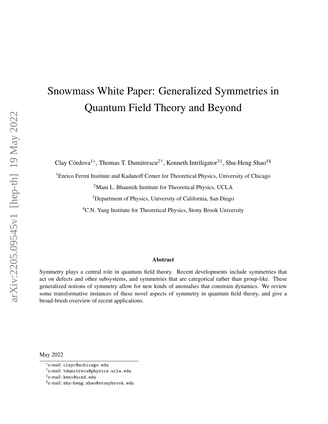# <span id="page-0-0"></span>Snowmass White Paper: Generalized Symmetries in Quantum Field Theory and Beyond

Clay Córdova<sup>1\*</sup>, Thomas T. Dumitrescu<sup>2†</sup>, Kenneth Intriligator<sup>3‡</sup>, Shu-Heng Shao<sup>4§</sup>

<sup>1</sup>Enrico Fermi Institute and Kadanoff Center for Theoretical Physics, University of Chicago

<sup>2</sup>Mani L. Bhaumik Institute for Theoretical Physics, UCLA

<sup>3</sup>Department of Physics, University of California, San Diego

<sup>4</sup>C.N. Yang Institute for Theoretical Physics, Stony Brook University

#### Abstract

Symmetry plays a central role in quantum field theory. Recent developments include symmetries that act on defects and other subsystems, and symmetries that are categorical rather than group-like. These generalized notions of symmetry allow for new kinds of anomalies that constrain dynamics. We review some transformative instances of these novel aspects of symmetry in quantum field theory, and give a broad-brush overview of recent applications.

May 2022

<sup>\*</sup>e-mail: clayc@uchicago.edu

<sup>†</sup> e-mail: tdumitrecu@physics.ucla.edu

<sup>‡</sup> e-mail: keni@ucsd.edu

<sup>§</sup> e-mail: shu-heng.shao@stonybrook.edu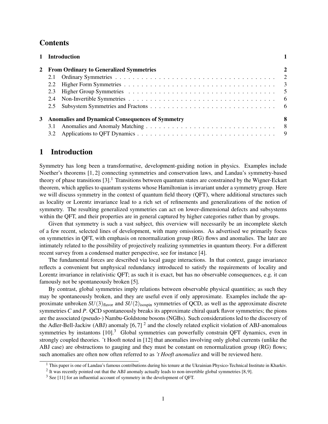# **Contents**

|                                                    |                                           | 1 Introduction |  |  |  |  |
|----------------------------------------------------|-------------------------------------------|----------------|--|--|--|--|
|                                                    | 2 From Ordinary to Generalized Symmetries |                |  |  |  |  |
|                                                    |                                           |                |  |  |  |  |
|                                                    |                                           |                |  |  |  |  |
|                                                    |                                           |                |  |  |  |  |
|                                                    |                                           |                |  |  |  |  |
|                                                    |                                           |                |  |  |  |  |
| 3 Anomalies and Dynamical Consequences of Symmetry |                                           |                |  |  |  |  |
|                                                    |                                           |                |  |  |  |  |
|                                                    |                                           |                |  |  |  |  |

## <span id="page-1-0"></span>1 Introduction

Symmetry has long been a transformative, development-guiding notion in physics. Examples include Noether's theorems [\[1,](#page-10-0) [2\]](#page-10-1) connecting symmetries and conservation laws, and Landau's symmetry-based theory of phase transitions  $[3]$ <sup>[1](#page-0-0)</sup>. Transitions between quantum states are constrained by the Wigner-Eckart theorem, which applies to quantum systems whose Hamiltonian is invariant under a symmetry group. Here we will discuss symmetry in the context of quantum field theory (QFT), where additional structures such as locality or Lorentz invariance lead to a rich set of refinements and generalizations of the notion of symmetry. The resulting generalized symmetries can act on lower-dimensional defects and subsystems within the QFT, and their properties are in general captured by higher categories rather than by groups.

Given that symmetry is such a vast subject, this overview will necessarily be an incomplete sketch of a few recent, selected lines of development, with many omissions. As advertised we primarily focus on symmetries in QFT, with emphasis on renormalization group (RG) flows and anomalies. The later are intimately related to the possibility of projectively realizing symmetries in quantum theory. For a different recent survey from a condensed matter perspective, see for instance [\[4\]](#page-10-3).

The fundamental forces are described via local gauge interactions. In that context, gauge invariance reflects a convenient but unphysical redundancy introduced to satisfy the requirements of locality and Lorentz invariance in relativistic QFT; as such it is exact, but has no observable consequences, e.g. it can famously not be spontaneously broken [\[5\]](#page-10-4).

By contrast, global symmetries imply relations between observable physical quantities; as such they may be spontaneously broken, and they are useful even if only approximate. Examples include the approximate unbroken  $SU(3)_{\text{flavor}}$  and  $SU(2)_{\text{isospin}}$  symmetries of QCD, as well as the approximate discrete symmetries *C* and *P*. QCD spontaneously breaks its approximate chiral quark flavor symmetries; the pions are the associated (pseudo-) Nambu-Goldstone bosons (NGBs). Such considerations led to the discovery of the Adler-Bell-Jackiw (ABJ) anomaly  $[6, 7]$  $[6, 7]$  $[6, 7]$  <sup>[2](#page-0-0)</sup> and the closely related explicit violation of ABJ-anomalous symmetries by instantons [\[10\]](#page-10-7).<sup>[3](#page-0-0)</sup> Global symmetries can powerfully constrain QFT dynamics, even in strongly coupled theories. 't Hooft noted in [\[12\]](#page-10-8) that anomalies involving only global currents (unlike the ABJ case) are obstructions to gauging and they must be constant on renormalization group (RG) flows; such anomalies are often now often referred to as *'t Hooft anomalies* and will be reviewed here.

<sup>&</sup>lt;sup>1</sup> This paper is one of Landau's famous contributions during his tenure at the Ukrainian Physico-Technical Institute in Kharkiv.

 $2$  It was recently pointed out that the ABJ anomaly actually leads to non-invertible global symmetries [\[8,](#page-10-9)[9\]](#page-10-10).

 $3$  See [\[11\]](#page-10-11) for an influential account of symmetry in the development of QFT.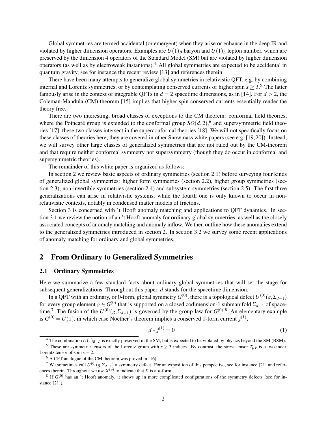Global symmetries are termed accidental (or emergent) when they arise or enhance in the deep IR and violated by higher dimension operators. Examples are  $U(1)_B$  baryon and  $U(1)_L$  lepton number, which are preserved by the dimension 4 operators of the Standard Model (SM) but are violated by higher dimension operators (as well as by electroweak instantons).[4](#page-0-0) All global symmetries are expected to be accidental in quantum gravity, see for instance the recent review [\[13\]](#page-10-12) and references therein.

There have been many attempts to generalize global symmetries in relativistic QFT, e.g. by combining internal and Lorentz symmetries, or by contemplating conserved currents of higher spin  $s > 3.5$  $s > 3.5$  The latter famously arise in the context of integrable QFTs in  $d = 2$  spacetime dimensions, as in [\[14\]](#page-10-13). For  $d > 2$ , the Coleman-Mandula (CM) theorem [\[15\]](#page-10-14) implies that higher spin conserved currents essentially render the theory free.

There are two interesting, broad classes of exceptions to the CM theorem: conformal field theories, where the Poincaré group is extended to the conformal group  $SO(d,2)$ , <sup>[6](#page-0-0)</sup> and supersymmetric field theories [\[17\]](#page-11-0); these two classes intersect in the superconformal theories [\[18\]](#page-11-1). We will not specifically focus on these classes of theories here; they are covered in other Snowmass white papers (see e.g. [\[19,](#page-11-2)[20\]](#page-11-3)). Instead, we will survey other large classes of generalized symmetries that are not ruled out by the CM-theorem and that require neither conformal symmetry nor supersymmetry (though they do occur in conformal and supersymmetric theories).

The remainder of this white paper is organized as follows:

In section [2](#page-2-0) we review basic aspects of ordinary symmetries (section [2.1\)](#page-2-1) before surveying four kinds of generalized global symmetries: higher form symmetries (section [2.2\)](#page-3-0), higher group symmetries (sec-tion [2.3\)](#page-5-0), non-invertible symmetries (section [2.4\)](#page-6-0) and subsystem symmetries (section [2.5\)](#page-6-1). The first three generalizations can arise in relativistic systems, while the fourth one is only known to occur in nonrelativistic contexts, notably in condensed matter models of fractons.

Section [3](#page-8-0) is concerned with 't Hooft anomaly matching and applications to QFT dynamics. In section [3.1](#page-8-1) we review the notion of an 't Hooft anomaly for ordinary global symmetries, as well as the closely associated concepts of anomaly matching and anomaly inflow. We then outline how these anomalies extend to the generalized symmetries introduced in section [2.](#page-2-0) In section [3.2](#page-9-0) we survey some recent applications of anomaly matching for ordinary and global symmetries.

# <span id="page-2-0"></span>2 From Ordinary to Generalized Symmetries

#### <span id="page-2-1"></span>2.1 Ordinary Symmetries

Here we summarize a few standard facts about ordinary global symmetries that will set the stage for subsequent generalizations. Throughout this paper, *d* stands for the spacetime dimension.

In a QFT with an ordinary, or 0-form, global symmetry  $G^{(0)}$ , there is a topological defect  $U^{(0)}(g,\Sigma_{d-1})$ for every group element  $g \in G^{(0)}$  that is supported on a closed codimension-1 submanifold  $\Sigma_{d-1}$  of space-time.<sup>[7](#page-0-0)</sup> The fusion of the  $U^{(0)}(g, \Sigma_{d-1})$  is governed by the group law for  $G^{(0)}$ .<sup>[8](#page-0-0)</sup> An elementary example is  $G^{(0)} = U(1)$ , in which case Noether's theorem implies a conserved 1-form current  $j^{(1)}$ ,

$$
d * j^{(1)} = 0.
$$
 (1)

<sup>&</sup>lt;sup>4</sup> The combination  $U(1)_{B-L}$  is exactly preserved in the SM, but is expected to be violated by physics beyond the SM (BSM).

<sup>&</sup>lt;sup>5</sup> These are symmetric tensors of the Lorentz group with  $s \geq 3$  indices. By contrast, the stress tensor  $T_{\mu\nu}$  is a two-index Lorentz tensor of spin  $s = 2$ .

<sup>6</sup> A CFT analogue of the CM theorem was proved in [\[16\]](#page-11-4).

<sup>&</sup>lt;sup>7</sup> We sometimes call  $U^{(0)}(g, \Sigma_{d-1})$  a symmetry defect. For an exposition of this perspective, see for instance [\[21\]](#page-11-5) and references therein. Throughout we use  $X^{(p)}$  to indicate that *X* is a *p*-form.

 $8$  If  $G^{(0)}$  has an 't Hooft anomaly, it shows up in more complicated configurations of the symmetry defects (see for instance [\[21\]](#page-11-5)).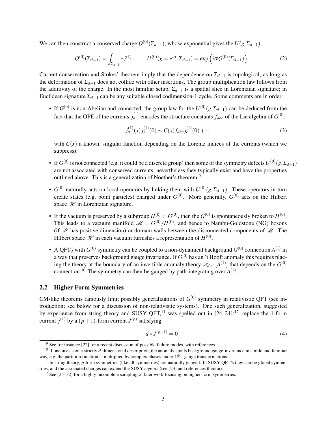We can then construct a conserved charge  $Q^{(0)}(\Sigma_{d-1})$ , whose exponential gives the  $U(g,\Sigma_{d-1})$ ,

$$
Q^{(0)}(\Sigma_{d-1}) = \int_{\Sigma_{d-1}} *j^{(1)}, \qquad U^{(0)}(g = e^{i\alpha}, \Sigma_{d-1}) = \exp(i\alpha Q^{(0)}(\Sigma_{d-1})) \tag{2}
$$

Current conservation and Stokes' theorem imply that the dependence on  $\Sigma_{d-1}$  is topological, as long as the deformation of Σ*d*−<sup>1</sup> does not collide with other insertions. The group multiplication law follows from the additivity of the charge. In the most familiar setup, Σ*d*−<sup>1</sup> is a spatial slice in Lorentzian signature; in Euclidean signature Σ*d*−<sup>1</sup> can be any suitable closed codimension-1 cycle. Some comments are in order:

• If  $G^{(0)}$  is non-Abelian and connected, the group law for the  $U^{(0)}(g, \Sigma_{d-1})$  can be deduced from the fact that the OPE of the currents  $j_a^{(1)}$  encodes the structure constants  $f_{abc}$  of the Lie algebra of  $G^{(0)}$ ,

$$
j_a^{(1)}(x)j_b^{(1)}(0) \sim C(x)f_{abc}j_c^{(1)}(0) + \cdots , \qquad (3)
$$

with  $C(x)$  a known, singular function depending on the Lorentz indices of the currents (which we suppress).

- If  $G^{(0)}$  is not connected (e.g. it could be a discrete group) then some of the symmetry defects  $U^{(0)}(g, \Sigma_{d-1})$ are not associated with conserved currents; nevertheless they typically exist and have the properties outlined above. This is a generalization of Noether's theorem.<sup>[9](#page-0-0)</sup>
- *G*<sup>(0)</sup> naturally acts on local operators by linking them with *U*<sup>(0)</sup>(*g*,Σ<sub>*d*−1</sub>). These operators in turn create states (e.g. point particles) charged under  $G^{(0)}$ . More generally,  $G^{(0)}$  acts on the Hilbert space  $\mathscr H$  in Lorentzian signature.
- If the vacuum is preserved by a subgroup  $H^{(0)} \subset G^{(0)}$ , then the  $G^{(0)}$  is spontaneously broken to  $H^{(0)}$ . This leads to a vacuum manifold  $\mathcal{M} = G^{(0)}/H^{(0)}$ , and hence to Nambu-Goldstone (NG) bosons (if  $M$  has positive dimension) or domain walls between the disconnected components of  $M$ . The Hilbert space  $\mathscr H$  in each vacuum furnishes a representation of  $H^{(0)}$ .
- A QFT<sub>d</sub> with  $G^{(0)}$  symmetry can be coupled to a non-dynamical background  $G^{(0)}$  connection  $A^{(1)}$  in a way that preserves background gauge invariance. If  $G^{(0)}$  has an 't Hooft anomaly this requires placing the theory at the boundary of an invertible anomaly theory  $\mathscr{A}_{d+1}[A^{(1)}]$  that depends on the  $G^{(0)}$ connection.<sup>[10](#page-0-0)</sup> The symmetry can then be gauged by path-integrating over  $A^{(1)}$ .

#### <span id="page-3-0"></span>2.2 Higher Form Symmetries

CM-like theorems famously limit possibly generalizations of  $G^{(0)}$  symmetry in relativistic QFT (see introduction; see below for a discussion of non-relativistic systems). One such generalization, suggested by experience from string theory and SUSY OFT,<sup>[11](#page-0-0)</sup> was spelled out in [\[24,](#page-11-6) [21\]](#page-11-5):<sup>[12](#page-0-0)</sup> replace the 1-form current  $j^{(1)}$  by a  $(p+1)$ -form current  $J^{(p)}$  satisfying

$$
d * J^{(p+1)} = 0.
$$
 (4)

<sup>&</sup>lt;sup>9</sup> See for instance [\[22\]](#page-11-7) for a recent discussion of possible failure modes, with references.

<sup>&</sup>lt;sup>10</sup> If one insists on a strictly *d*-dimensional description, the anomaly spoils background gauge-invariance in a mild and familiar way, e.g. the partition function is multiplied by complex phases under  $G^{(0)}$  gauge transformations.

<sup>&</sup>lt;sup>11</sup> In string theory, *p*-form symmetries (like all symmetries) are naturally gauged. In SUSY QFT's they can be global symmetries, and the associated charges can extend the SUSY algebra (see [\[23\]](#page-11-8) and references therein).

<sup>&</sup>lt;sup>12</sup> See [\[25–](#page-11-9)[32\]](#page-11-10) for a highly incomplete sampling of later work focusing on higher-form symmetries.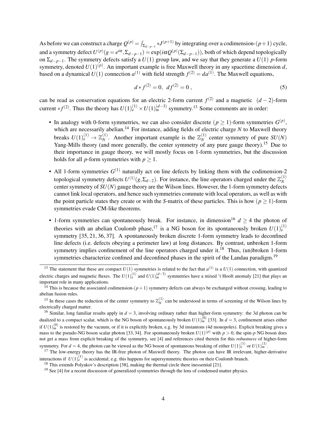As before we can construct a charge  $Q^{(p)} = \int_{\Sigma_{d-p-1}} * J^{(p+1)}$  by integrating over a codimension-(*p*+1) cycle, and a symmetry defect  $U^{(p)}(g=e^{i\alpha},\Sigma_{d-p-1})=\exp(i\alpha Q^{(p)}(\Sigma_{d-p-1}))$ , both of which depend topologically on  $\Sigma_{d-p-1}$ . The symmetry defects satisfy a *U*(1) group law, and we say that they generate a *U*(1) *p*-form symmetry, denoted  $U(1)^{(p)}$ . An important example is free Maxwell theory in any spacetime dimension *d*, based on a dynamical  $U(1)$  connection  $a^{(1)}$  with field strength  $f^{(2)} = da^{(1)}$ . The Maxwell equations,

$$
d * f^{(2)} = 0, \ \ df^{(2)} = 0 \ , \tag{5}
$$

can be read as conservation equations for an electric 2-form current  $f^{(2)}$  and a magnetic  $(d-2)$ -form current  $*f^{(2)}$ . Thus the theory has  $U(1)_e^{(1)} \times U(1)_m^{(d-3)}$  symmetry.<sup>[13](#page-0-0)</sup> Some comments are in order:

- In analogy with 0-form symmetries, we can also consider discrete  $(p \ge 1)$ -form symmetries  $G^{(p)}$ , which are necessarily abelian.<sup>[14](#page-0-0)</sup> For instance, adding fields of electric charge  $N$  to Maxwell theory breaks  $U(1)_{e}^{(1)} \rightarrow \mathbb{Z}_N^{(1)}$  $N^{(1)}$ . Another important example is the  $\mathbb{Z}_N^{(1)}$  $N$ <sup>(1)</sup> center symmetry of pure *SU*(*N*) Yang-Mills theory (and more generally, the center symmetry of any pure gauge theory).<sup>[15](#page-0-0)</sup> Due to their importance in gauge theory, we will mostly focus on 1-form symmetries, but the discussion holds for all *p*-form symmetries with  $p \geq 1$ .
- All 1-form symmetries  $G^{(1)}$  naturally act on line defects by linking them with the codimension-2 topological symmetry defects  $U^{(1)}(g, \Sigma_{d-2})$ . For instance, the line operators charged under the  $\mathbb{Z}_N^{(1)}$ *N* center symmetry of  $SU(N)$  gauge theory are the Wilson lines. However, the 1-form symmetry defects cannot link local operators, and hence such symmetries commute with local operators, as well as with the point particle states they create or with the *S*-matrix of these particles. This is how ( $p \ge 1$ )-form symmetries evade CM-like theorems.
- 1-form symmetries can spontaneously break. For instance, in dimension<sup>[16](#page-0-0)</sup>  $d \geq 4$  the photon of theories with an abelian Coulomb phase,<sup>[17](#page-0-0)</sup> is a NG boson for its spontaneously broken  $U(1)_{e}^{(1)}$ symmetry [\[35,](#page-12-0) [21,](#page-11-5) [36,](#page-12-1) [37\]](#page-12-2). A spontaneously broken discrete 1-form symmetry leads to deconfined line defects (i.e. defects obeying a perimeter law) at long distances. By contrast, unbroken 1-form symmetry implies confinement of the line operators charged under it.<sup>[18](#page-0-0)</sup> Thus, (un)broken 1-form symmetries characterize confined and deconfined phases in the spirit of the Landau paradigm.<sup>[19](#page-0-0)</sup>

<sup>&</sup>lt;sup>13</sup> The statement that these are compact  $U(1)$  symmetries is related to the fact that  $a^{(1)}$  is a  $U(1)$  connection, with quantized electric charges and magnetic fluxes. The  $U(1)^{(1)}_{e}$  and  $U(1)^{(d-3)}_{m}$  symmetries have a mixed 't Hooft anomaly [\[21\]](#page-11-5) that plays an important role in many applications.

<sup>&</sup>lt;sup>14</sup> This is because the associated codimension- $(p+1)$  symmetry defects can always be exchanged without crossing, leading to abelian fusion rules.

<sup>&</sup>lt;sup>15</sup> In these cases the reduction of the center symmetry to  $\mathbb{Z}_N^{(1)}$  can be understood in terms of screening of the Wilson lines by electrically charged matter.

<sup>&</sup>lt;sup>16</sup> Similar, long familiar results apply in  $d = 3$ , involving ordinary rather than higher-form symmetry: the 3d photon can be dualized to a compact scalar, which is the NG boson of spontaneously broken  $U(1)^{(0)}_m$  [\[33\]](#page-11-11). In  $d = 3$ , confinement arises either if  $U(1)_m^{(0)}$  is restored by the vacuum, or if it is explicitly broken, e.g. by 3d instantons (4d monopoles). Explicit breaking gives a mass to the pseudo-NG boson scalar photon [\[33,](#page-11-11) [34\]](#page-12-3). For spontaneously broken  $U(1)^{(p)}$  with  $p > 0$ , the spin- $p$  NG boson does not get a mass from explicit breaking of the symmetry, see [\[4\]](#page-10-3) and references cited therein for this *robustness* of higher-form symmetry. For  $d = 4$ , the photon can be viewed as the NG boson of spontaneous breaking of either  $U(1)_{e}^{(1)}$  or  $U(1)_{m}^{(1)}$ .

 $17$  The low-energy theory has the IR-free photon of Maxwell theory. The photon can have IR irrelevant, higher-derivative interactions if  $U(1)_{e}^{(1)}$  is accidental; e.g. this happens for supersymmetric theories on their Coulomb branch.

<sup>&</sup>lt;sup>18</sup> This extends Polyakov's description [\[38\]](#page-12-4), making the thermal circle there inessential [\[21\]](#page-11-5).

<sup>&</sup>lt;sup>19</sup> See [\[4\]](#page-10-3) for a recent discussion of generalized symmetries through the lens of condensed matter physics.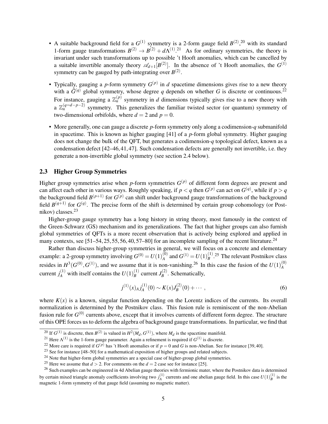- A suitable background field for a  $G^{(1)}$  symmetry is a 2-form gauge field  $B^{(2)},^{20}$  $B^{(2)},^{20}$  $B^{(2)},^{20}$  with its standard 1-form gauge transformations  $B^{(2)} \to B^{(2)} + d\Lambda^{(1)}$ .<sup>[21](#page-0-0)</sup> As for ordinary symmetries, the theory is invariant under such transformations up to possible 't Hooft anomalies, which can be cancelled by a suitable invertible anomaly theory  $\mathscr{A}_{d+1}[B^{(2)}]$ . In the absence of 't Hooft anomalies, the  $G^{(1)}$ symmetry can be gauged by path-integrating over  $B^{(2)}$ .
- Typically, gauging a *p*-form symmetry  $G^{(p)}$  in *d* spacetime dimensions gives rise to a new theory with a  $\tilde{G}^{(q)}$  global symmetry, whose degree *q* depends on whether *G* is discrete or continuous.<sup>[22](#page-0-0)</sup> For instance, gauging a  $\mathbb{Z}_n^{(p)}$  symmetry in *d* dimensions typically gives rise to a new theory with a  $\mathbb{Z}_n^{(q=d-p-2)}$  symmetry. This generalizes the familiar twisted sector (or quantum) symmetry of two-dimensional orbifolds, where  $d = 2$  and  $p = 0$ .
- More generally, one can gauge a discrete *p*-form symmetry only along a codimension-*q* submanifold in spacetime. This is known as higher gauging [\[41\]](#page-12-5) of a *p*-form global symmetry. Higher gauging does not change the bulk of the QFT, but generates a codimension-*q* topological defect, known as a condensation defect [\[42](#page-12-6)[–46,](#page-12-7)[41,](#page-12-5)[47\]](#page-12-8). Such condensation defects are generally not invertible, i.e. they generate a non-invertible global symmetry (see section [2.4](#page-6-0) below).

### <span id="page-5-0"></span>2.3 Higher Group Symmetries

Higher group symmetries arise when  $p$ -form symmetries  $G^{(p)}$  of different form degrees are present and can affect each other in various ways. Roughly speaking, if  $p < q$  then  $G^{(p)}$  can act on  $G^{(q)}$ , while if  $p > q$ the background field  $B^{(p+1)}$  for  $G^{(p)}$  can shift under background gauge transformations of the background field  $B^{(q+1)}$  for  $G^{(q)}$ . The precise form of the shift is determined by certain group cohomology (or Postnikov) classes.[23](#page-0-0)

Higher-group gauge symmetry has a long history in string theory, most famously in the context of the Green-Schwarz (GS) mechanism and its generalizations. The fact that higher groups can also furnish global symmetries of QFTs is a more recent observation that is actively being explored and applied in many contexts, see  $[51–54, 25, 55, 56, 40, 57–80]$  $[51–54, 25, 55, 56, 40, 57–80]$  $[51–54, 25, 55, 56, 40, 57–80]$  $[51–54, 25, 55, 56, 40, 57–80]$  $[51–54, 25, 55, 56, 40, 57–80]$  $[51–54, 25, 55, 56, 40, 57–80]$  $[51–54, 25, 55, 56, 40, 57–80]$  $[51–54, 25, 55, 56, 40, 57–80]$  $[51–54, 25, 55, 56, 40, 57–80]$  $[51–54, 25, 55, 56, 40, 57–80]$  $[51–54, 25, 55, 56, 40, 57–80]$  $[51–54, 25, 55, 56, 40, 57–80]$  $[51–54, 25, 55, 56, 40, 57–80]$  for an incomplete sampling of the recent literature.<sup>[24](#page-0-0)</sup>

Rather than discuss higher-group symmetries in general, we will focus on a concrete and elementary example: a 2-group symmetry involving  $G^{(0)} = U(1)_{A}^{(0)}$  $\binom{0}{A}$  and  $G^{(1)} = U(1)_{B}^{(1)}$  $B^{(1)}$ .<sup>[25](#page-0-0)</sup> The relevant Postnikov class resides in  $H^3(G^{(0)}, G^{(1)})$ , and we assume that it is non-vanishing.<sup>[26](#page-0-0)</sup> In this case the fusion of the  $U(1)_{A}^{(0)}$ *A* current  $j_A^{(1)}$  with itself contains the  $U(1)_B^{(1)}$  $\binom{1}{B}$  current  $J_B^{(2)}$  $B^{(2)}$ . Schematically,

$$
j^{(1)}(x)_{A}j^{(1)}_{A}(0) \sim K(x)J^{(2)}_{B}(0) + \cdots,
$$
\n(6)

where  $K(x)$  is a known, singular function depending on the Lorentz indices of the currents. Its overall normalization is determined by the Postnikov class. This fusion rule is reminiscent of the non-Abelian fusion rule for  $G^{(0)}$  currents above, except that it involves currents of different form degree. The structure of this OPE forces us to deform the algebra of background gauge transformations. In particular, we find that

<sup>&</sup>lt;sup>20</sup> If  $G^{(1)}$  is discrete, then  $B^{(2)}$  is valued in  $H^2(M_d, G^{(1)})$ , where  $M_d$  is the spacetime manifold.

<sup>&</sup>lt;sup>21</sup> Here  $\Lambda^{(1)}$  is the 1-form gauge parameter. Again a refinement is required if  $G^{(1)}$  is discrete.

<sup>&</sup>lt;sup>22</sup> More care is required if  $G^{(p)}$  has 't Hooft anomalies or if  $p = 0$  and G is non-Abelian. See for instance [\[39,](#page-12-11) [40\]](#page-12-10).

<sup>23</sup> See for instance [\[48–](#page-12-12)[50\]](#page-12-13) for a mathematical exposition of higher groups and related subjects.

<sup>&</sup>lt;sup>24</sup> Note that higher-form global symmetries are a special case of higher-group global symmetries.

<sup>&</sup>lt;sup>25</sup> Here we assume that  $d > 2$ . For comments on the  $d = 2$  case see for instance [\[25\]](#page-11-9).

<sup>&</sup>lt;sup>26</sup> Such examples can be engineered in 4d Abelian gauge theories with fermionic mater, where the Postnikov data is determined by certain mixed triangle anomaly coefficients involving two  $j_A^{(1)}$  currents and one abelian gauge field. In this case  $U(1)^{(1)}_B$  is the magnetic 1-form symmetry of that gauge field (assuming no magnetic matter).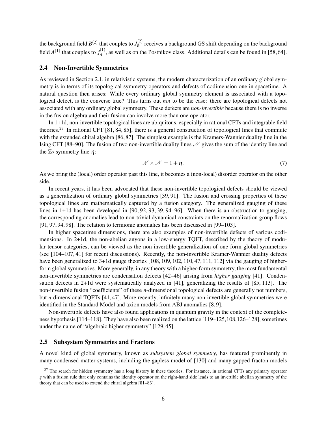the background field  $B^{(2)}$  that couples to  $J_B^{(2)}$  $B_B^{(2)}$  receives a background GS shift depending on the background field  $A^{(1)}$  that couples to  $j_A^{(1)}$  $A_A^{(1)}$ , as well as on the Postnikov class. Additional details can be found in [\[58,](#page-13-4)[64\]](#page-13-5).

#### <span id="page-6-0"></span>2.4 Non-Invertible Symmetries

As reviewed in Section [2.1,](#page-2-1) in relativistic systems, the modern characterization of an ordinary global symmetry is in terms of its topological symmetry operators and defects of codimension one in spacetime. A natural question then arises: While every ordinary global symmetry element is associated with a topological defect, is the converse true? This turns out *not* to be the case: there are topological defects not associated with any ordinary global symmetry. These defects are *non-invertible* because there is no inverse in the fusion algebra and their fusion can involve more than one operator.

In 1+1d, non-invertible topological lines are ubiquitous, especially in rational CFTs and integrable field theories.<sup>[27](#page-0-0)</sup> In rational CFT [\[81,](#page-14-1) [84,](#page-14-2) [85\]](#page-14-3), there is a general construction of topological lines that commute with the extended chiral algebra [\[86,](#page-14-4)[87\]](#page-14-5). The simplest example is the Kramers-Wannier duality line in the Ising CFT [\[88–](#page-14-6)[90\]](#page-14-7). The fusion of two non-invertible duality lines  $\mathcal N$  gives the sum of the identity line and the  $\mathbb{Z}_2$  symmetry line  $\eta$ :

$$
\mathcal{N} \times \mathcal{N} = 1 + \eta \,. \tag{7}
$$

As we bring the (local) order operator past this line, it becomes a (non-local) disorder operator on the other side.

In recent years, it has been advocated that these non-invertible topological defects should be viewed as a generalization of ordinary global symmetries [\[39,](#page-12-11) [91\]](#page-15-0). The fusion and crossing properties of these topological lines are mathematically captured by a fusion category. The generalized gauging of these lines in 1+1d has been developed in [\[90,](#page-14-7) [92,](#page-15-1) [93,](#page-15-2) [39,](#page-12-11) [94–](#page-15-3)[96\]](#page-15-4). When there is an obstruction to gauging, the corresponding anomalies lead to non-trivial dynamical constraints on the renormalization group flows [\[91,](#page-15-0) [97,](#page-15-5) [94,](#page-15-3) [98\]](#page-15-6). The relation to fermionic anomalies has been discussed in [\[99–](#page-15-7)[103\]](#page-15-8).

In higher spacetime dimensions, there are also examples of non-invertible defects of various codimensions. In 2+1d, the non-abelian anyons in a low-energy TQFT, described by the theory of modular tensor categories, can be viewed as the non-invertible generalization of one-form global symmetries (see [\[104](#page-15-9)[–107,](#page-15-10) [41\]](#page-12-5) for recent discussions). Recently, the non-invertible Kramer-Wannier duality defects have been generalized to 3+1d gauge theories [\[108,](#page-15-11) [109,](#page-15-12) [102,](#page-15-13) [110,](#page-16-0) [47,](#page-12-8) [111,](#page-16-1) [112\]](#page-16-2) via the gauging of higherform global symmetries. More generally, in any theory with a higher-form symmetry, the most fundamental non-invertible symmetries are condensation defects [\[42](#page-12-6)[–46\]](#page-12-7) arising from *higher gauging* [\[41\]](#page-12-5). Condensation defects in 2+1d were systematically analyzed in [\[41\]](#page-12-5), generalizing the results of [\[85,](#page-14-3) [113\]](#page-16-3). The non-invertible fusion "coefficients" of these *n*-dimensional topological defects are generally not numbers, but *n*-dimensional TQFTs [\[41,](#page-12-5) [47\]](#page-12-8). More recently, infinitely many non-invertible global symmetries were identified in the Standard Model and axion models from ABJ anomalies [\[8,](#page-10-9) [9\]](#page-10-10).

Non-invertible defects have also found applications in quantum gravity in the context of the completeness hypothesis [\[114](#page-16-4)[–118\]](#page-16-5). They have also been realized on the lattice [\[119](#page-16-6)[–125,](#page-16-7)[108](#page-15-11)[,126–](#page-16-8)[128\]](#page-17-0), sometimes under the name of "algebraic higher symmetry" [\[129,](#page-17-1) [45\]](#page-12-14).

#### <span id="page-6-1"></span>2.5 Subsystem Symmetries and Fractons

A novel kind of global symmetry, known as *subsystem global symmetry*, has featured prominently in many condensed matter systems, including the gapless model of [\[130\]](#page-17-2) and many gapped fracton models

<sup>&</sup>lt;sup>27</sup> The search for hidden symmetry has a long history in these theories. For instance, in rational CFTs any primary operator *g* with a fusion rule that only contains the identity operator on the right-hand side leads to an invertible abelian symmetry of the theory that can be used to extend the chiral algebra [\[81](#page-14-1)[–83\]](#page-14-8).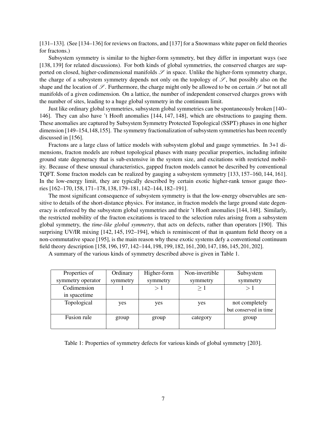[\[131–](#page-17-3)[133\]](#page-17-4). (See [\[134–](#page-17-5)[136\]](#page-17-6) for reviews on fractons, and [\[137\]](#page-17-7) for a Snowmass white paper on field theories for fractons.)

Subsystem symmetry is similar to the higher-form symmetry, but they differ in important ways (see [\[138,](#page-17-8) [139\]](#page-17-9) for related discussions). For both kinds of global symmetries, the conserved charges are supported on closed, higher-codimensional manifolds  $\mathscr S$  in space. Unlike the higher-form symmetry charge, the charge of a subsystem symmetry depends not only on the topology of  $\mathscr{S}$ , but possibly also on the shape and the location of  $\mathscr S$ . Furthermore, the charge might only be allowed to be on certain  $\mathscr S$  but not all manifolds of a given codimension. On a lattice, the number of independent conserved charges grows with the number of sites, leading to a huge global symmetry in the continuum limit.

Just like ordinary global symmetries, subsystem global symmetries can be spontaneously broken [\[140–](#page-17-10) [146\]](#page-18-0). They can also have 't Hooft anomalies [\[144,](#page-17-11) [147,](#page-18-1) [148\]](#page-18-2), which are obstructions to gauging them. These anomalies are captured by Subsystem Symmetry Protected Topological (SSPT) phases in one higher dimension [\[149–](#page-18-3)[154,](#page-18-4)[148,](#page-18-2)[155\]](#page-18-5). The symmetry fractionalization of subsystem symmetries has been recently discussed in [\[156\]](#page-18-6).

Fractons are a large class of lattice models with subsystem global and gauge symmetries. In 3+1 dimensions, fracton models are robust topological phases with many peculiar properties, including infinite ground state degeneracy that is sub-extensive in the system size, and excitations with restricted mobility. Because of these unusual characteristics, gapped fracton models cannot be described by conventional TQFT. Some fracton models can be realized by gauging a subsystem symmetry [\[133,](#page-17-4) [157–](#page-18-7)[160,](#page-18-8) [144,](#page-17-11) [161\]](#page-18-9). In the low-energy limit, they are typically described by certain exotic higher-rank tensor gauge theories [\[162–](#page-19-0)[170,](#page-19-1) [158,](#page-18-10) [171](#page-19-2)[–178,](#page-19-3) [138,](#page-17-8) [179](#page-20-0)[–181,](#page-20-1) [142–](#page-17-12)[144,](#page-17-11) [182–](#page-20-2)[191\]](#page-20-3).

The most significant consequence of subsystem symmetry is that the low-energy observables are sensitive to details of the short-distance physics. For instance, in fracton models the large ground state degeneracy is enforced by the subsystem global symmetries and their 't Hooft anomalies [\[144,](#page-17-11) [148\]](#page-18-2). Similarly, the restricted mobility of the fracton excitations is traced to the selection rules arising from a subsystem global symmetry, the *time-like global symmetry*, that acts on defects, rather than operators [\[190\]](#page-20-4). This surprising UV/IR mixing [\[142,](#page-17-12) [145,](#page-18-11) [192–](#page-20-5)[194\]](#page-20-6), which is reminiscent of that in quantum field theory on a non-commutative space [\[195\]](#page-20-7), is the main reason why these exotic systems defy a conventional continuum field theory description [\[158,](#page-18-10) [196,](#page-20-8) [197,](#page-20-9) [142–](#page-17-12)[144,](#page-17-11) [198,](#page-21-0) [199,](#page-21-1) [182,](#page-20-2) [161,](#page-18-9) [200,](#page-21-2) [147,](#page-18-1) [186,](#page-20-10) [145,](#page-18-11) [201,](#page-21-3) [202\]](#page-21-4).

<span id="page-7-0"></span>A summary of the various kinds of symmetry described above is given in Table [1.](#page-7-0)

| Properties of     | Ordinary | Higher-form | Non-invertible | Subsystem             |
|-------------------|----------|-------------|----------------|-----------------------|
| symmetry operator | symmetry | symmetry    | symmetry       | symmetry              |
| Codimension       |          | >1          | $\geq 1$       | >1                    |
| in spacetime      |          |             |                |                       |
| Topological       | yes      | yes         | yes            | not completely        |
|                   |          |             |                | but conserved in time |
| Fusion rule       | group    | group       | category       | group                 |
|                   |          |             |                |                       |

Table 1: Properties of symmetry defects for various kinds of global symmetry [\[203\]](#page-21-5).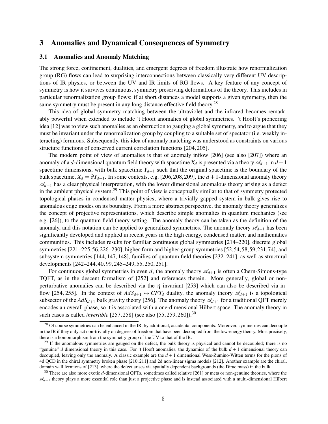## <span id="page-8-0"></span>3 Anomalies and Dynamical Consequences of Symmetry

#### <span id="page-8-1"></span>3.1 Anomalies and Anomaly Matching

The strong force, confinement, dualities, and emergent degrees of freedom illustrate how renormalization group (RG) flows can lead to surprising interconnections between classically very different UV descriptions of IR physics, or between the UV and IR limits of RG flows. A key feature of any concept of symmetry is how it survives continuous, symmetry preserving deformations of the theory. This includes in particular renormalization group flows: if at short distances a model supports a given symmetry, then the same symmetry must be present in any long distance effective field theory.<sup>[28](#page-0-0)</sup>

This idea of global symmetry matching between the ultraviolet and the infrared becomes remarkably powerful when extended to include 't Hooft anomalies of global symmetries. 't Hooft's pioneering idea [\[12\]](#page-10-8) was to view such anomalies as an obstruction to gauging a global symmetry, and to argue that they must be invariant under the renormalization group by coupling to a suitable set of spectator (i.e. weakly interacting) fermions. Subsequently, this idea of anomaly matching was understood as constraints on various structure functions of conserved current correlation functions [\[204,](#page-21-6) [205\]](#page-21-7).

The modern point of view of anomalies is that of anomaly inflow [\[206\]](#page-21-8) (see also [\[207\]](#page-21-9)) where an anomaly of a *d*-dimensional quantum field theory with spacetime  $X_d$  is presented via a theory  $\mathscr{A}_{d+1}$  in  $d+1$ spacetime dimensions, with bulk spacetime  $Y_{d+1}$  such that the original spacetime is the boundary of the bulk spacetime,  $X_d = \partial Y_{d+1}$ . In some contexts, e.g. [\[206,](#page-21-8) [208,](#page-21-10) [209\]](#page-21-11), the  $d+1$ -dimensional anomaly theory  $\mathcal{A}_{d+1}$  has a clear physical interpretation, with the lower dimensional anomalous theory arising as a defect in the ambient physical system.<sup>[29](#page-0-0)</sup> This point of view is conceptually similar to that of symmetry protected topological phases in condensed matter physics, where a trivially gapped system in bulk gives rise to anomalous edge modes on its boundary. From a more abstract perspective, the anomaly theory generalizes the concept of projective representations, which describe simple anomalies in quantum mechanics (see e.g. [\[26\]](#page-11-12)), to the quantum field theory setting. The anomaly theory can be taken as the definition of the anomaly, and this notation can be applied to generalized symmetries. The anomaly theory  $\mathcal{A}_{d+1}$  has been significantly developed and applied in recent years in the high energy, condensed matter, and mathematics communities. This includes results for familiar continuous global symmetries [\[214](#page-21-12)[–220\]](#page-22-0), discrete global symmetries [\[221](#page-22-1)[–225,](#page-22-2)[56,](#page-13-2)[226](#page-22-3)[–230\]](#page-22-4), higher-form and higher-group symmetries [\[52,](#page-12-15)[54,](#page-13-0)[58,](#page-13-4)[59,](#page-13-6)[231,](#page-22-5)[74\]](#page-14-9), and subsystem symmetries [\[144,](#page-17-11) [147,](#page-18-1) [148\]](#page-18-2), families of quantum field theories [\[232](#page-22-6)[–241\]](#page-23-0), as well as structural developments [\[242–](#page-23-1)[244,](#page-23-2) [40,](#page-12-10) [99,](#page-15-7) [245](#page-23-3)[–249,](#page-23-4) [55,](#page-13-1) [250,](#page-23-5) [251\]](#page-23-6).

For continuous global symmetries in even *d*, the anomaly theory  $\mathscr{A}_{d+1}$  is often a Chern-Simons-type TQFT, as in the descent formalism of [\[252\]](#page-24-0) and references therein. More generally, global or nonperturbative anomalies can be described via the  $\eta$ -invariant [\[253\]](#page-24-1) which can also be described via in-flow [\[254,](#page-24-2) [255\]](#page-24-3). In the context of  $AdS_{d+1} \leftrightarrow CFT_d$  duality, the anomaly theory  $\mathscr{A}_{d+1}$  is a topological subsector of the  $AdS_{d+1}$  bulk gravity theory [\[256\]](#page-24-4). The anomaly theory  $\mathcal{A}_{d+1}$  for a traditional QFT merely encodes an overall phase, so it is associated with a one-dimensional Hilbert space. The anomaly theory in such cases is called *invertible* [\[257,](#page-24-5) [258\]](#page-24-6) (see also [\[55,](#page-13-1) [259,](#page-24-7) [260\]](#page-24-8)).<sup>[30](#page-0-0)</sup>

<sup>&</sup>lt;sup>28</sup> Of course symmetries can be enhanced in the IR, by additional, accidental components. Moreover, symmetries can decouple in the IR if they only act non-trivially on degrees of freedom that have been decoupled from the low-energy theory. Most precisely, there is a homomorphism from the symmetry group of the UV to that of the IR.

 $29$  If the anomalous symmetries are gauged on the defect, the bulk theory is physical and cannot be decoupled; there is no "genuine" *d* dimensional theory in this case. For 't Hooft anomalies, the dynamics of the bulk  $d+1$  dimensional theory can decoupled, leaving only the anomaly. A classic example are the *d* + 1 dimensional Wess-Zumino-Witten terms for the pions of 4d QCD in the chiral symmetry broken phase [\[210,](#page-21-13) [211\]](#page-21-14) and 2d non-linear sigma models [\[212\]](#page-21-15). Another example are the chiral, domain wall fermions of [\[213\]](#page-21-16), where the defect arises via spatially dependent backgrounds (the Dirac mass) in the bulk.

<sup>30</sup> There are also more exotic *d*-dimensional QFTs, sometimes called relative [\[261\]](#page-24-9) or meta or non-genuine theories, where the  $\mathcal{A}_{d+1}$  theory plays a more essential role than just a projective phase and is instead associated with a multi-dimensional Hilbert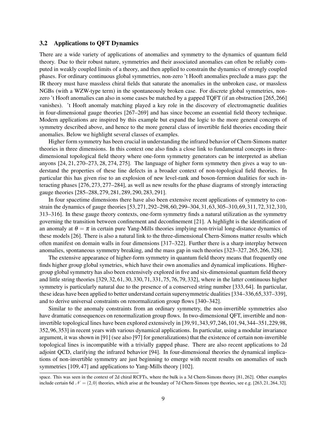#### <span id="page-9-0"></span>3.2 Applications to QFT Dynamics

There are a wide variety of applications of anomalies and symmetry to the dynamics of quantum field theory. Due to their robust nature, symmetries and their associated anomalies can often be reliably computed in weakly coupled limits of a theory, and then applied to constrain the dynamics of strongly coupled phases. For ordinary continuous global symmetries, non-zero 't Hooft anomalies preclude a mass gap: the IR theory must have massless chiral fields that saturate the anomalies in the unbroken case, or massless NGBs (with a WZW-type term) in the spontaneously broken case. For discrete global symmetries, nonzero 't Hooft anomalies can also in some cases be matched by a gapped TQFT (if an obstruction [\[265,](#page-24-10)[266\]](#page-24-11) vanishes). 't Hooft anomaly matching played a key role in the discovery of electromagnetic dualities in four-dimensional gauge theories [\[267–](#page-24-12)[269\]](#page-24-13) and has since become an essential field theory technique. Modern applications are inspired by this example but expand the logic to the more general concepts of symmetry described above, and hence to the more general class of invertible field theories encoding their anomalies. Below we highlight several classes of examples.

Higher form symmetry has been crucial in understanding the infrared behavior of Chern-Simons matter theories in three dimensions. In this context one also finds a close link to fundamental concepts in threedimensional topological field theory where one-form symmetry generators can be interpreted as abelian anyons [\[24,](#page-11-6) [21,](#page-11-5) [270–](#page-25-0)[273,](#page-25-1) [28,](#page-11-13) [274,](#page-25-2) [275\]](#page-25-3). The language of higher form symmetry then gives a way to understand the properties of these line defects in a broader context of non-topological field theories. In particular this has given rise to an explosion of new level-rank and boson-fermion dualities for such interacting phases [\[276,](#page-25-4) [273,](#page-25-1) [277](#page-25-5)[–284\]](#page-25-6), as well as new results for the phase diagrams of strongly interacting gauge theories [\[285–](#page-25-7)[288,](#page-26-0) [279,](#page-25-8) [281,](#page-25-9) [289,](#page-26-1) [290,](#page-26-2) [283,](#page-25-10) [291\]](#page-26-3).

In four spacetime dimensions there have also been extensive recent applications of symmetry to constrain the dynamics of gauge theories [\[53,](#page-13-7)[271,](#page-25-11)[292](#page-26-4)[–298,](#page-26-5)[60,](#page-13-8)[299–](#page-26-6)[304,](#page-27-0)[31,](#page-11-14)[63,](#page-13-9)[305–](#page-27-1)[310,](#page-27-2)[69,](#page-13-10)[311,](#page-27-3)[72,](#page-14-10)[312,](#page-27-4)[310,](#page-27-2) [313–](#page-27-5)[316\]](#page-27-6). In these gauge theory contexts, one-form symmetry finds a natural utilization as the symmetry governing the transition between confinement and deconfinement [\[21\]](#page-11-5). A highlight is the identification of an anomaly at  $\theta = \pi$  in certain pure Yang-Mills theories implying non-trivial long-distance dynamics of these models [\[26\]](#page-11-12). There is also a natural link to the three-dimensional Chern-Simons matter results which often manifest on domain walls in four dimensions [\[317–](#page-27-7)[322\]](#page-28-0). Further there is a sharp interplay between anomalies, spontaneous symmetry breaking, and the mass gap in such theories [\[323–](#page-28-1)[327,](#page-28-2) [265,](#page-24-10) [266,](#page-24-11) [328\]](#page-28-3).

The extensive appearance of higher-form symmetry in quantum field theory means that frequently one finds higher group global symetries, which have their own anomalies and dynamical implications. Highergroup global symmetry has also been extensively explored in five and six-dimensional quantum field theory and little string theories [\[329,](#page-28-4) [32,](#page-11-10) [61,](#page-13-11) [30,](#page-11-15) [330,](#page-28-5) [71,](#page-14-11) [331,](#page-28-6) [75,](#page-14-12) [76,](#page-14-13) [79,](#page-14-14) [332\]](#page-28-7), where in the latter continuous higher symmetry is particularly natural due to the presence of a conserved string number [\[333,](#page-28-8) [64\]](#page-13-5). In particular, these ideas have been applied to better understand certain supersymmetric dualities [\[334–](#page-28-9)[336,](#page-28-10)[65,](#page-13-12)[337–](#page-28-11)[339\]](#page-29-0), and to derive universal constraints on renormalization group flows [\[340](#page-29-1)[–342\]](#page-29-2).

Similar to the anomaly constraints from an ordinary symmetry, the non-invertible symmetries also have dramatic consequences on renormalization group flows. In two-dimensional QFT, invertible and noninvertible topological lines have been explored extensively in [\[39,](#page-12-11)[91,](#page-15-0)[343,](#page-29-3)[97,](#page-15-5)[246,](#page-23-7)[101,](#page-15-14)[94,](#page-15-3)[344](#page-29-4)[–351,](#page-29-5)[229,](#page-22-7)[98,](#page-15-6) [352,](#page-29-6)[96,](#page-15-4)[353\]](#page-29-7) in recent years with various dynamical applications. In particular, using a modular invariance argument, it was shown in [\[91\]](#page-15-0) (see also [\[97\]](#page-15-5) for generalizations) that the existence of certain non-invertible topological lines is incompatible with a trivially gapped phase. There are also recent applications to 2d adjoint QCD, clarifying the infrared behavior [\[94\]](#page-15-3). In four-dimensional theories the dynamical implications of non-invertible symmetry are just beginning to emerge with recent results on anomalies of such symmetries [\[109,](#page-15-12) [47\]](#page-12-8) and applications to Yang-Mills theory [\[102\]](#page-15-13).

space. This was seen in the context of 2d chiral RCFTs, where the bulk is a 3d Chern-Simons theory [\[81,](#page-14-1) [262\]](#page-24-14). Other examples include certain 6d  $\mathcal{N} = (2,0)$  theories, which arise at the boundary of 7d Chern-Simons type theories, see e.g. [\[263,](#page-24-15) [21,](#page-11-5) [264,](#page-24-16) [32\]](#page-11-10).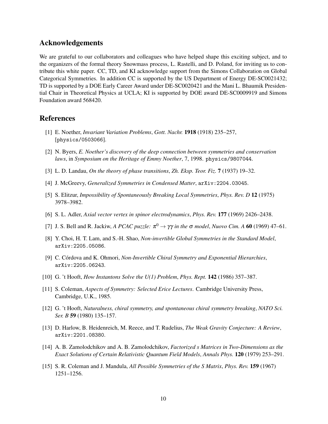## Acknowledgements

We are grateful to our collaborators and colleagues who have helped shape this exciting subject, and to the organizers of the formal theory Snowmass process, L. Rastelli, and D. Poland, for inviting us to contribute this white paper. CC, TD, and KI acknowledge support from the Simons Collaboration on Global Categorical Symmetries. In addition CC is supported by the US Department of Energy DE-SC0021432; TD is supported by a DOE Early Career Award under DE-SC0020421 and the Mani L. Bhaumik Presidential Chair in Theoretical Physics at UCLA; KI is supported by DOE award DE-SC0009919 and Simons Foundation award 568420.

# References

- <span id="page-10-0"></span>[1] E. Noether, *Invariant Variation Problems*, *Gott. Nachr.* 1918 (1918) 235–257, [physics/0503066].
- <span id="page-10-1"></span>[2] N. Byers, *E. Noether's discovery of the deep connection between symmetries and conservation laws*, in *Symposium on the Heritage of Emmy Noether*, 7, 1998. physics/9807044.
- <span id="page-10-2"></span>[3] L. D. Landau, *On the theory of phase transitions*, *Zh. Eksp. Teor. Fiz.* 7 (1937) 19–32.
- <span id="page-10-3"></span>[4] J. McGreevy, *Generalized Symmetries in Condensed Matter*, arXiv:2204.03045.
- <span id="page-10-4"></span>[5] S. Elitzur, *Impossibility of Spontaneously Breaking Local Symmetries*, *Phys. Rev. D* 12 (1975) 3978–3982.
- <span id="page-10-5"></span>[6] S. L. Adler, *Axial vector vertex in spinor electrodynamics*, *Phys. Rev.* 177 (1969) 2426–2438.
- <span id="page-10-6"></span>[7] J. S. Bell and R. Jackiw, *A PCAC puzzle:*  $\pi^0 \to \gamma \gamma$  *in the*  $\sigma$  *model*, *Nuovo Cim.* A 60 (1969) 47–61.
- <span id="page-10-9"></span>[8] Y. Choi, H. T. Lam, and S.-H. Shao, *Non-invertible Global Symmetries in the Standard Model*, arXiv:2205.05086.
- <span id="page-10-10"></span>[9] C. Córdova and K. Ohmori, *Non-Invertible Chiral Symmetry and Exponential Hierarchies*, arXiv:2205.06243.
- <span id="page-10-7"></span>[10] G. 't Hooft, *How Instantons Solve the U(1) Problem*, *Phys. Rept.* 142 (1986) 357–387.
- <span id="page-10-11"></span>[11] S. Coleman, *Aspects of Symmetry: Selected Erice Lectures*. Cambridge University Press, Cambridge, U.K., 1985.
- <span id="page-10-8"></span>[12] G. 't Hooft, *Naturalness, chiral symmetry, and spontaneous chiral symmetry breaking*, *NATO Sci. Ser. B* 59 (1980) 135–157.
- <span id="page-10-12"></span>[13] D. Harlow, B. Heidenreich, M. Reece, and T. Rudelius, *The Weak Gravity Conjecture: A Review*, arXiv:2201.08380.
- <span id="page-10-13"></span>[14] A. B. Zamolodchikov and A. B. Zamolodchikov, *Factorized s Matrices in Two-Dimensions as the Exact Solutions of Certain Relativistic Quantum Field Models*, *Annals Phys.* 120 (1979) 253–291.
- <span id="page-10-14"></span>[15] S. R. Coleman and J. Mandula, *All Possible Symmetries of the S Matrix*, *Phys. Rev.* 159 (1967) 1251–1256.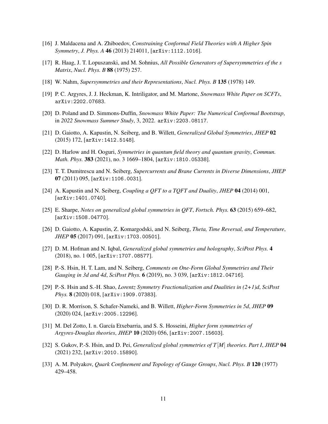- <span id="page-11-4"></span>[16] J. Maldacena and A. Zhiboedov, *Constraining Conformal Field Theories with A Higher Spin Symmetry*, *J. Phys. A* 46 (2013) 214011, [arXiv:1112.1016].
- <span id="page-11-0"></span>[17] R. Haag, J. T. Lopuszanski, and M. Sohnius, *All Possible Generators of Supersymmetries of the s Matrix*, *Nucl. Phys. B* 88 (1975) 257.
- <span id="page-11-1"></span>[18] W. Nahm, *Supersymmetries and their Representations*, *Nucl. Phys. B* 135 (1978) 149.
- <span id="page-11-2"></span>[19] P. C. Argyres, J. J. Heckman, K. Intriligator, and M. Martone, *Snowmass White Paper on SCFTs*, arXiv:2202.07683.
- <span id="page-11-3"></span>[20] D. Poland and D. Simmons-Duffin, *Snowmass White Paper: The Numerical Conformal Bootstrap*, in *2022 Snowmass Summer Study*, 3, 2022. arXiv:2203.08117.
- <span id="page-11-5"></span>[21] D. Gaiotto, A. Kapustin, N. Seiberg, and B. Willett, *Generalized Global Symmetries*, *JHEP* 02 (2015) 172, [arXiv:1412.5148].
- <span id="page-11-7"></span>[22] D. Harlow and H. Ooguri, *Symmetries in quantum field theory and quantum gravity*, *Commun. Math. Phys.* 383 (2021), no. 3 1669–1804, [arXiv:1810.05338].
- <span id="page-11-8"></span>[23] T. T. Dumitrescu and N. Seiberg, *Supercurrents and Brane Currents in Diverse Dimensions*, *JHEP* 07 (2011) 095, [arXiv:1106.0031].
- <span id="page-11-6"></span>[24] A. Kapustin and N. Seiberg, *Coupling a QFT to a TQFT and Duality*, *JHEP* 04 (2014) 001, [arXiv:1401.0740].
- <span id="page-11-9"></span>[25] E. Sharpe, *Notes on generalized global symmetries in QFT*, *Fortsch. Phys.* 63 (2015) 659–682, [arXiv:1508.04770].
- <span id="page-11-12"></span>[26] D. Gaiotto, A. Kapustin, Z. Komargodski, and N. Seiberg, *Theta, Time Reversal, and Temperature*, *JHEP* 05 (2017) 091, [arXiv:1703.00501].
- [27] D. M. Hofman and N. Iqbal, *Generalized global symmetries and holography*, *SciPost Phys.* 4 (2018), no. 1 005, [arXiv:1707.08577].
- <span id="page-11-13"></span>[28] P.-S. Hsin, H. T. Lam, and N. Seiberg, *Comments on One-Form Global Symmetries and Their Gauging in 3d and 4d*, *SciPost Phys.* 6 (2019), no. 3 039, [arXiv:1812.04716].
- [29] P.-S. Hsin and S.-H. Shao, *Lorentz Symmetry Fractionalization and Dualities in (2+1)d*, *SciPost Phys.* 8 (2020) 018, [arXiv:1909.07383].
- <span id="page-11-15"></span>[30] D. R. Morrison, S. Schafer-Nameki, and B. Willett, *Higher-Form Symmetries in 5d*, *JHEP* 09 (2020) 024, [arXiv:2005.12296].
- <span id="page-11-14"></span>[31] M. Del Zotto, I. n. García Etxebarria, and S. S. Hosseini, *Higher form symmetries of Argyres-Douglas theories*, *JHEP* 10 (2020) 056, [arXiv:2007.15603].
- <span id="page-11-10"></span>[32] S. Gukov, P.-S. Hsin, and D. Pei, *Generalized global symmetries of T*[*M*] *theories. Part I*, *JHEP* 04 (2021) 232, [arXiv:2010.15890].
- <span id="page-11-11"></span>[33] A. M. Polyakov, *Quark Confinement and Topology of Gauge Groups*, *Nucl. Phys. B* 120 (1977) 429–458.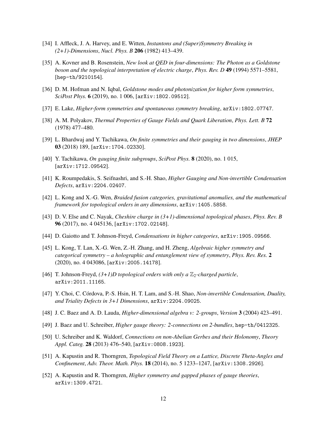- <span id="page-12-3"></span>[34] I. Affleck, J. A. Harvey, and E. Witten, *Instantons and (Super)Symmetry Breaking in (2+1)-Dimensions*, *Nucl. Phys. B* 206 (1982) 413–439.
- <span id="page-12-0"></span>[35] A. Kovner and B. Rosenstein, *New look at QED in four-dimensions: The Photon as a Goldstone boson and the topological interpretation of electric charge*, *Phys. Rev. D* 49 (1994) 5571–5581, [hep-th/9210154].
- <span id="page-12-1"></span>[36] D. M. Hofman and N. Iqbal, *Goldstone modes and photonization for higher form symmetries*, *SciPost Phys.* 6 (2019), no. 1 006, [arXiv:1802.09512].
- <span id="page-12-2"></span>[37] E. Lake, *Higher-form symmetries and spontaneous symmetry breaking*, arXiv:1802.07747.
- <span id="page-12-4"></span>[38] A. M. Polyakov, *Thermal Properties of Gauge Fields and Quark Liberation*, *Phys. Lett. B* 72 (1978) 477–480.
- <span id="page-12-11"></span>[39] L. Bhardwaj and Y. Tachikawa, *On finite symmetries and their gauging in two dimensions*, *JHEP* 03 (2018) 189, [arXiv:1704.02330].
- <span id="page-12-10"></span>[40] Y. Tachikawa, *On gauging finite subgroups*, *SciPost Phys.* 8 (2020), no. 1 015, [arXiv:1712.09542].
- <span id="page-12-5"></span>[41] K. Roumpedakis, S. Seifnashri, and S.-H. Shao, *Higher Gauging and Non-invertible Condensation Defects*, arXiv:2204.02407.
- <span id="page-12-6"></span>[42] L. Kong and X.-G. Wen, *Braided fusion categories, gravitational anomalies, and the mathematical framework for topological orders in any dimensions*, arXiv:1405.5858.
- [43] D. V. Else and C. Nayak, *Cheshire charge in (3+1)-dimensional topological phases*, *Phys. Rev. B* 96 (2017), no. 4 045136, [arXiv:1702.02148].
- [44] D. Gaiotto and T. Johnson-Freyd, *Condensations in higher categories*, arXiv:1905.09566.
- <span id="page-12-14"></span>[45] L. Kong, T. Lan, X.-G. Wen, Z.-H. Zhang, and H. Zheng, *Algebraic higher symmetry and categorical symmetry – a holographic and entanglement view of symmetry*, *Phys. Rev. Res.* 2 (2020), no. 4 043086, [arXiv:2005.14178].
- <span id="page-12-7"></span>[46] T. Johnson-Freyd,  $(3+1)D$  topological orders with only a  $\mathbb{Z}_2$ -charged particle, arXiv:2011.11165.
- <span id="page-12-8"></span>[47] Y. Choi, C. Córdova, P.-S. Hsin, H. T. Lam, and S.-H. Shao, *Non-invertible Condensation, Duality, and Triality Defects in 3+1 Dimensions*, arXiv:2204.09025.
- <span id="page-12-12"></span>[48] J. C. Baez and A. D. Lauda, *Higher-dimensional algebra v: 2-groups*, *Version* 3 (2004) 423–491.
- [49] J. Baez and U. Schreiber, *Higher gauge theory: 2-connections on 2-bundles*, hep-th/0412325.
- <span id="page-12-13"></span>[50] U. Schreiber and K. Waldorf, *Connections on non-Abelian Gerbes and their Holonomy*, *Theory Appl. Categ.* 28 (2013) 476–540, [arXiv:0808.1923].
- <span id="page-12-9"></span>[51] A. Kapustin and R. Thorngren, *Topological Field Theory on a Lattice, Discrete Theta-Angles and Confinement*, *Adv. Theor. Math. Phys.* 18 (2014), no. 5 1233–1247, [arXiv:1308.2926].
- <span id="page-12-15"></span>[52] A. Kapustin and R. Thorngren, *Higher symmetry and gapped phases of gauge theories*, arXiv:1309.4721.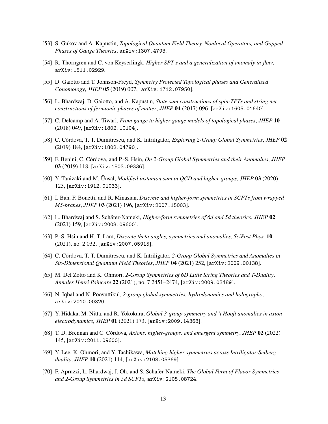- <span id="page-13-7"></span>[53] S. Gukov and A. Kapustin, *Topological Quantum Field Theory, Nonlocal Operators, and Gapped Phases of Gauge Theories*, arXiv:1307.4793.
- <span id="page-13-0"></span>[54] R. Thorngren and C. von Keyserlingk, *Higher SPT's and a generalization of anomaly in-flow*, arXiv:1511.02929.
- <span id="page-13-1"></span>[55] D. Gaiotto and T. Johnson-Freyd, *Symmetry Protected Topological phases and Generalized Cohomology*, *JHEP* 05 (2019) 007, [arXiv:1712.07950].
- <span id="page-13-2"></span>[56] L. Bhardwaj, D. Gaiotto, and A. Kapustin, *State sum constructions of spin-TFTs and string net constructions of fermionic phases of matter*, *JHEP* 04 (2017) 096, [arXiv:1605.01640].
- <span id="page-13-3"></span>[57] C. Delcamp and A. Tiwari, *From gauge to higher gauge models of topological phases*, *JHEP* 10 (2018) 049, [arXiv:1802.10104].
- <span id="page-13-4"></span>[58] C. Córdova, T. T. Dumitrescu, and K. Intriligator, *Exploring 2-Group Global Symmetries*, *JHEP* 02 (2019) 184, [arXiv:1802.04790].
- <span id="page-13-6"></span>[59] F. Benini, C. Córdova, and P.-S. Hsin, *On 2-Group Global Symmetries and their Anomalies*, *JHEP* 03 (2019) 118, [arXiv:1803.09336].
- <span id="page-13-8"></span>[60] Y. Tanizaki and M. Unsal, *Modified instanton sum in QCD and higher-groups*, *JHEP* 03 (2020) 123, [arXiv:1912.01033].
- <span id="page-13-11"></span>[61] I. Bah, F. Bonetti, and R. Minasian, *Discrete and higher-form symmetries in SCFTs from wrapped M5-branes*, *JHEP* 03 (2021) 196, [arXiv:2007.15003].
- [62] L. Bhardwaj and S. Schäfer-Nameki, *Higher-form symmetries of 6d and 5d theories*, *JHEP* 02 (2021) 159, [arXiv:2008.09600].
- <span id="page-13-9"></span>[63] P.-S. Hsin and H. T. Lam, *Discrete theta angles, symmetries and anomalies*, *SciPost Phys.* 10 (2021), no. 2 032, [arXiv:2007.05915].
- <span id="page-13-5"></span>[64] C. Córdova, T. T. Dumitrescu, and K. Intriligator, 2-Group Global Symmetries and Anomalies in *Six-Dimensional Quantum Field Theories*, *JHEP* 04 (2021) 252, [arXiv:2009.00138].
- <span id="page-13-12"></span>[65] M. Del Zotto and K. Ohmori, *2-Group Symmetries of 6D Little String Theories and T-Duality*, *Annales Henri Poincare* 22 (2021), no. 7 2451–2474, [arXiv:2009.03489].
- [66] N. Iqbal and N. Poovuttikul, *2-group global symmetries, hydrodynamics and holography*, arXiv:2010.00320.
- [67] Y. Hidaka, M. Nitta, and R. Yokokura, *Global 3-group symmetry and 't Hooft anomalies in axion electrodynamics*, *JHEP* 01 (2021) 173, [arXiv:2009.14368].
- [68] T. D. Brennan and C. Córdova, *Axions, higher-groups, and emergent symmetry*, *JHEP* 02 (2022) 145, [arXiv:2011.09600].
- <span id="page-13-10"></span>[69] Y. Lee, K. Ohmori, and Y. Tachikawa, *Matching higher symmetries across Intriligator-Seiberg duality*, *JHEP* 10 (2021) 114, [arXiv:2108.05369].
- [70] F. Apruzzi, L. Bhardwaj, J. Oh, and S. Schafer-Nameki, *The Global Form of Flavor Symmetries and 2-Group Symmetries in 5d SCFTs*, arXiv:2105.08724.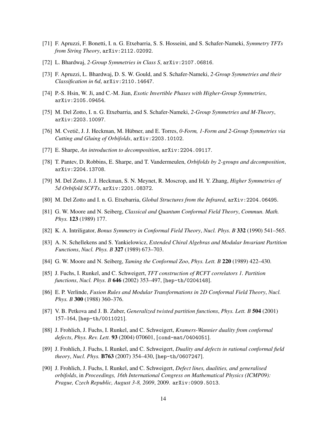- <span id="page-14-11"></span>[71] F. Apruzzi, F. Bonetti, I. n. G. Etxebarria, S. S. Hosseini, and S. Schafer-Nameki, *Symmetry TFTs from String Theory*, arXiv:2112.02092.
- <span id="page-14-10"></span>[72] L. Bhardwaj, *2-Group Symmetries in Class S*, arXiv:2107.06816.
- [73] F. Apruzzi, L. Bhardwaj, D. S. W. Gould, and S. Schafer-Nameki, *2-Group Symmetries and their Classification in 6d*, arXiv:2110.14647.
- <span id="page-14-9"></span>[74] P.-S. Hsin, W. Ji, and C.-M. Jian, *Exotic Invertible Phases with Higher-Group Symmetries*, arXiv:2105.09454.
- <span id="page-14-12"></span>[75] M. Del Zotto, I. n. G. Etxebarria, and S. Schafer-Nameki, *2-Group Symmetries and M-Theory*, arXiv:2203.10097.
- <span id="page-14-13"></span>[76] M. Cvetič, J. J. Heckman, M. Hübner, and E. Torres, *0-Form, 1-Form and 2-Group Symmetries via Cutting and Gluing of Orbifolds*, arXiv:2203.10102.
- [77] E. Sharpe, *An introduction to decomposition*, arXiv:2204.09117.
- [78] T. Pantev, D. Robbins, E. Sharpe, and T. Vandermeulen, *Orbifolds by 2-groups and decomposition*, arXiv:2204.13708.
- <span id="page-14-14"></span>[79] M. Del Zotto, J. J. Heckman, S. N. Meynet, R. Moscrop, and H. Y. Zhang, *Higher Symmetries of 5d Orbifold SCFTs*, arXiv:2201.08372.
- <span id="page-14-0"></span>[80] M. Del Zotto and I. n. G. Etxebarria, *Global Structures from the Infrared*, arXiv:2204.06495.
- <span id="page-14-1"></span>[81] G. W. Moore and N. Seiberg, *Classical and Quantum Conformal Field Theory*, *Commun. Math. Phys.* 123 (1989) 177.
- [82] K. A. Intriligator, *Bonus Symmetry in Conformal Field Theory*, *Nucl. Phys. B* 332 (1990) 541–565.
- <span id="page-14-8"></span>[83] A. N. Schellekens and S. Yankielowicz, *Extended Chiral Algebras and Modular Invariant Partition Functions*, *Nucl. Phys. B* 327 (1989) 673–703.
- <span id="page-14-2"></span>[84] G. W. Moore and N. Seiberg, *Taming the Conformal Zoo*, *Phys. Lett. B* 220 (1989) 422–430.
- <span id="page-14-3"></span>[85] J. Fuchs, I. Runkel, and C. Schweigert, *TFT construction of RCFT correlators 1. Partition functions*, *Nucl. Phys. B* 646 (2002) 353–497, [hep-th/0204148].
- <span id="page-14-4"></span>[86] E. P. Verlinde, *Fusion Rules and Modular Transformations in 2D Conformal Field Theory*, *Nucl. Phys. B* 300 (1988) 360–376.
- <span id="page-14-5"></span>[87] V. B. Petkova and J. B. Zuber, *Generalized twisted partition functions*, *Phys. Lett. B* 504 (2001) 157–164, [hep-th/0011021].
- <span id="page-14-6"></span>[88] J. Frohlich, J. Fuchs, I. Runkel, and C. Schweigert, *Kramers-Wannier duality from conformal defects*, *Phys. Rev. Lett.* 93 (2004) 070601, [cond-mat/0404051].
- [89] J. Frohlich, J. Fuchs, I. Runkel, and C. Schweigert, *Duality and defects in rational conformal field theory*, *Nucl. Phys.* B763 (2007) 354–430, [hep-th/0607247].
- <span id="page-14-7"></span>[90] J. Frohlich, J. Fuchs, I. Runkel, and C. Schweigert, *Defect lines, dualities, and generalised orbifolds*, in *Proceedings, 16th International Congress on Mathematical Physics (ICMP09): Prague, Czech Republic, August 3-8, 2009*, 2009. arXiv:0909.5013.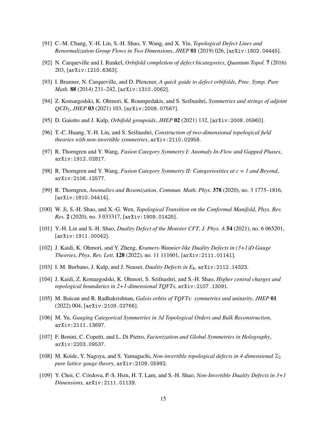- <span id="page-15-0"></span>[91] C.-M. Chang, Y.-H. Lin, S.-H. Shao, Y. Wang, and X. Yin, *Topological Defect Lines and Renormalization Group Flows in Two Dimensions*, *JHEP* 01 (2019) 026, [arXiv:1802.04445].
- <span id="page-15-1"></span>[92] N. Carqueville and I. Runkel, *Orbifold completion of defect bicategories*, *Quantum Topol.* 7 (2016) 203, [arXiv:1210.6363].
- <span id="page-15-2"></span>[93] I. Brunner, N. Carqueville, and D. Plencner, *A quick guide to defect orbifolds*, *Proc. Symp. Pure Math.* 88 (2014) 231–242, [arXiv:1310.0062].
- <span id="page-15-3"></span>[94] Z. Komargodski, K. Ohmori, K. Roumpedakis, and S. Seifnashri, *Symmetries and strings of adjoint QCD*2, *JHEP* 03 (2021) 103, [arXiv:2008.07567].
- [95] D. Gaiotto and J. Kulp, *Orbifold groupoids*, *JHEP* 02 (2021) 132, [arXiv:2008.05960].
- <span id="page-15-4"></span>[96] T.-C. Huang, Y.-H. Lin, and S. Seifnashri, *Construction of two-dimensional topological field theories with non-invertible symmetries*, arXiv:2110.02958.
- <span id="page-15-5"></span>[97] R. Thorngren and Y. Wang, *Fusion Category Symmetry I: Anomaly In-Flow and Gapped Phases*, arXiv:1912.02817.
- <span id="page-15-6"></span>[98] R. Thorngren and Y. Wang, *Fusion Category Symmetry II: Categoriosities at c = 1 and Beyond*, arXiv:2106.12577.
- <span id="page-15-7"></span>[99] R. Thorngren, *Anomalies and Bosonization*, *Commun. Math. Phys.* 378 (2020), no. 3 1775–1816, [arXiv:1810.04414].
- [100] W. Ji, S.-H. Shao, and X.-G. Wen, *Topological Transition on the Conformal Manifold*, *Phys. Rev. Res.* 2 (2020), no. 3 033317, [arXiv:1909.01425].
- <span id="page-15-14"></span>[101] Y.-H. Lin and S.-H. Shao, *Duality Defect of the Monster CFT*, *J. Phys. A* 54 (2021), no. 6 065201, [arXiv:1911.00042].
- <span id="page-15-13"></span>[102] J. Kaidi, K. Ohmori, and Y. Zheng, *Kramers-Wannier-like Duality Defects in (3+1)D Gauge Theories*, *Phys. Rev. Lett.* 128 (2022), no. 11 111601, [arXiv:2111.01141].
- <span id="page-15-8"></span>[103] I. M. Burbano, J. Kulp, and J. Neuser, *Duality Defects in E*8, arXiv:2112.14323.
- <span id="page-15-9"></span>[104] J. Kaidi, Z. Komargodski, K. Ohmori, S. Seifnashri, and S.-H. Shao, *Higher central charges and topological boundaries in 2+1-dimensional TQFTs*, arXiv:2107.13091.
- [105] M. Buican and R. Radhakrishnan, *Galois orbits of TQFTs: symmetries and unitarity*, *JHEP* 01 (2022) 004, [arXiv:2109.02766].
- [106] M. Yu, *Gauging Categorical Symmetries in 3d Topological Orders and Bulk Reconstruction*, arXiv:2111.13697.
- <span id="page-15-10"></span>[107] F. Benini, C. Copetti, and L. Di Pietro, *Factorization and Global Symmetries in Holography*, arXiv:2203.09537.
- <span id="page-15-11"></span>[108] M. Koide, Y. Nagoya, and S. Yamaguchi, *Non-invertible topological defects in 4-dimensional*  $\mathbb{Z}_2$ *pure lattice gauge theory*, arXiv:2109.05992.
- <span id="page-15-12"></span>[109] Y. Choi, C. Córdova, P.-S. Hsin, H. T. Lam, and S.-H. Shao, *Non-Invertible Duality Defects in*  $3+1$ *Dimensions*, arXiv:2111.01139.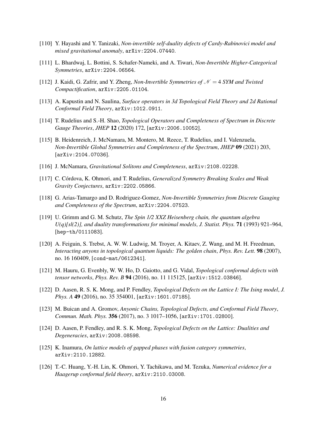- <span id="page-16-0"></span>[110] Y. Hayashi and Y. Tanizaki, *Non-invertible self-duality defects of Cardy-Rabinovici model and mixed gravitational anomaly*, arXiv:2204.07440.
- <span id="page-16-1"></span>[111] L. Bhardwaj, L. Bottini, S. Schafer-Nameki, and A. Tiwari, *Non-Invertible Higher-Categorical Symmetries*, arXiv:2204.06564.
- <span id="page-16-2"></span>[112] J. Kaidi, G. Zafrir, and Y. Zheng, *Non-Invertible Symmetries of*  $\mathcal{N} = 4$  *SYM and Twisted Compactification*, arXiv:2205.01104.
- <span id="page-16-3"></span>[113] A. Kapustin and N. Saulina, *Surface operators in 3d Topological Field Theory and 2d Rational Conformal Field Theory*, arXiv:1012.0911.
- <span id="page-16-4"></span>[114] T. Rudelius and S.-H. Shao, *Topological Operators and Completeness of Spectrum in Discrete Gauge Theories*, *JHEP* 12 (2020) 172, [arXiv:2006.10052].
- [115] B. Heidenreich, J. McNamara, M. Montero, M. Reece, T. Rudelius, and I. Valenzuela, *Non-Invertible Global Symmetries and Completeness of the Spectrum*, *JHEP* 09 (2021) 203, [arXiv:2104.07036].
- [116] J. McNamara, *Gravitational Solitons and Completeness*, arXiv:2108.02228.
- [117] C. Córdova, K. Ohmori, and T. Rudelius, *Generalized Symmetry Breaking Scales and Weak Gravity Conjectures*, arXiv:2202.05866.
- <span id="page-16-5"></span>[118] G. Arias-Tamargo and D. Rodriguez-Gomez, *Non-Invertible Symmetries from Discrete Gauging and Completeness of the Spectrum*, arXiv:2204.07523.
- <span id="page-16-6"></span>[119] U. Grimm and G. M. Schutz, *The Spin 1/2 XXZ Heisenberg chain, the quantum algebra U(q)[sl(2)], and duality transformations for minimal models*, *J. Statist. Phys.* 71 (1993) 921–964, [hep-th/0111083].
- [120] A. Feiguin, S. Trebst, A. W. W. Ludwig, M. Troyer, A. Kitaev, Z. Wang, and M. H. Freedman, *Interacting anyons in topological quantum liquids: The golden chain*, *Phys. Rev. Lett.* 98 (2007), no. 16 160409, [cond-mat/0612341].
- [121] M. Hauru, G. Evenbly, W. W. Ho, D. Gaiotto, and G. Vidal, *Topological conformal defects with tensor networks*, *Phys. Rev. B* 94 (2016), no. 11 115125, [arXiv:1512.03846].
- [122] D. Aasen, R. S. K. Mong, and P. Fendley, *Topological Defects on the Lattice I: The Ising model*, *J. Phys. A* 49 (2016), no. 35 354001, [arXiv:1601.07185].
- [123] M. Buican and A. Gromov, *Anyonic Chains, Topological Defects, and Conformal Field Theory*, *Commun. Math. Phys.* 356 (2017), no. 3 1017–1056, [arXiv:1701.02800].
- [124] D. Aasen, P. Fendley, and R. S. K. Mong, *Topological Defects on the Lattice: Dualities and Degeneracies*, arXiv:2008.08598.
- <span id="page-16-7"></span>[125] K. Inamura, *On lattice models of gapped phases with fusion category symmetries*, arXiv:2110.12882.
- <span id="page-16-8"></span>[126] T.-C. Huang, Y.-H. Lin, K. Ohmori, Y. Tachikawa, and M. Tezuka, *Numerical evidence for a Haagerup conformal field theory*, arXiv:2110.03008.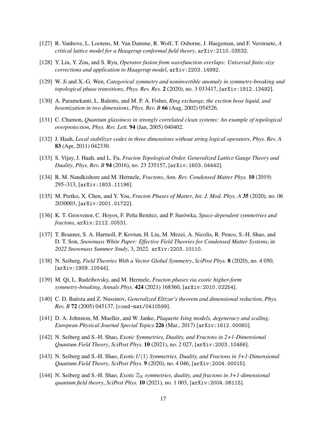- [127] R. Vanhove, L. Lootens, M. Van Damme, R. Wolf, T. Osborne, J. Haegeman, and F. Verstraete, *A critical lattice model for a Haagerup conformal field theory*, arXiv:2110.03532.
- <span id="page-17-0"></span>[128] Y. Liu, Y. Zou, and S. Ryu, *Operator fusion from wavefunction overlaps: Universal finite-size corrections and application to Haagerup model*, arXiv:2203.14992.
- <span id="page-17-1"></span>[129] W. Ji and X.-G. Wen, *Categorical symmetry and noninvertible anomaly in symmetry-breaking and topological phase transitions*, *Phys. Rev. Res.* 2 (2020), no. 3 033417, [arXiv:1912.13492].
- <span id="page-17-2"></span>[130] A. Paramekanti, L. Balents, and M. P. A. Fisher, *Ring exchange, the exciton bose liquid, and bosonization in two dimensions*, *Phys. Rev. B* 66 (Aug, 2002) 054526.
- <span id="page-17-3"></span>[131] C. Chamon, *Quantum glassiness in strongly correlated clean systems: An example of topological overprotection*, *Phys. Rev. Lett.* 94 (Jan, 2005) 040402.
- [132] J. Haah, *Local stabilizer codes in three dimensions without string logical operators*, *Phys. Rev. A* 83 (Apr, 2011) 042330.
- <span id="page-17-4"></span>[133] S. Vijay, J. Haah, and L. Fu, *Fracton Topological Order, Generalized Lattice Gauge Theory and Duality*, *Phys. Rev. B* 94 (2016), no. 23 235157, [arXiv:1603.04442].
- <span id="page-17-5"></span>[134] R. M. Nandkishore and M. Hermele, *Fractons*, *Ann. Rev. Condensed Matter Phys.* 10 (2019) 295–313, [arXiv:1803.11196].
- [135] M. Pretko, X. Chen, and Y. You, *Fracton Phases of Matter*, *Int. J. Mod. Phys. A* 35 (2020), no. 06 2030003, [arXiv:2001.01722].
- <span id="page-17-6"></span>[136] K. T. Grosvenor, C. Hoyos, F. Peña Benitez, and P. Surówka, *Space-dependent symmetries and fractons*, arXiv:2112.00531.
- <span id="page-17-7"></span>[137] T. Brauner, S. A. Hartnoll, P. Kovtun, H. Liu, M. Mezei, A. Nicolis, R. Penco, S.-H. Shao, and D. T. Son, *Snowmass White Paper: Effective Field Theories for Condensed Matter Systems*, in *2022 Snowmass Summer Study*, 3, 2022. arXiv:2203.10110.
- <span id="page-17-8"></span>[138] N. Seiberg, *Field Theories With a Vector Global Symmetry*, *SciPost Phys.* 8 (2020), no. 4 050, [arXiv:1909.10544].
- <span id="page-17-9"></span>[139] M. Qi, L. Radzihovsky, and M. Hermele, *Fracton phases via exotic higher-form symmetry-breaking*, *Annals Phys.* 424 (2021) 168360, [arXiv:2010.02254].
- <span id="page-17-10"></span>[140] C. D. Batista and Z. Nussinov, *Generalized Elitzur's theorem and dimensional reduction*, *Phys. Rev. B* 72 (2005) 045137, [cond-mat/0410599].
- [141] D. A. Johnston, M. Mueller, and W. Janke, *Plaquette Ising models, degeneracy and scaling*, *European Physical Journal Special Topics* 226 (Mar., 2017) [arXiv:1612.00060].
- <span id="page-17-12"></span>[142] N. Seiberg and S.-H. Shao, *Exotic Symmetries, Duality, and Fractons in 2+1-Dimensional Quantum Field Theory*, *SciPost Phys.* 10 (2021), no. 2 027, [arXiv:2003.10466].
- [143] N. Seiberg and S.-H. Shao, *Exotic U*(1) *Symmetries, Duality, and Fractons in 3+1-Dimensional Quantum Field Theory*, *SciPost Phys.* 9 (2020), no. 4 046, [arXiv:2004.00015].
- <span id="page-17-11"></span>[144] N. Seiberg and S.-H. Shao, *Exotic* Z*<sup>N</sup> symmetries, duality, and fractons in 3+1-dimensional quantum field theory*, *SciPost Phys.* 10 (2021), no. 1 003, [arXiv:2004.06115].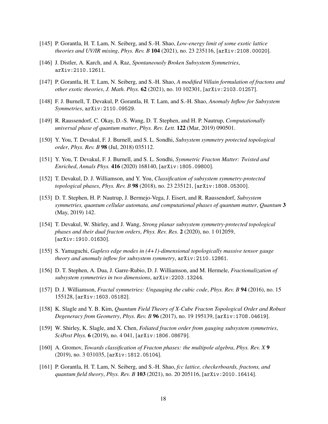- <span id="page-18-11"></span>[145] P. Gorantla, H. T. Lam, N. Seiberg, and S.-H. Shao, *Low-energy limit of some exotic lattice theories and UV/IR mixing*, *Phys. Rev. B* 104 (2021), no. 23 235116, [arXiv:2108.00020].
- <span id="page-18-0"></span>[146] J. Distler, A. Karch, and A. Raz, *Spontaneously Broken Subsystem Symmetries*, arXiv:2110.12611.
- <span id="page-18-1"></span>[147] P. Gorantla, H. T. Lam, N. Seiberg, and S.-H. Shao, *A modified Villain formulation of fractons and other exotic theories*, *J. Math. Phys.* 62 (2021), no. 10 102301, [arXiv:2103.01257].
- <span id="page-18-2"></span>[148] F. J. Burnell, T. Devakul, P. Gorantla, H. T. Lam, and S.-H. Shao, *Anomaly Inflow for Subsystem Symmetries*, arXiv:2110.09529.
- <span id="page-18-3"></span>[149] R. Raussendorf, C. Okay, D.-S. Wang, D. T. Stephen, and H. P. Nautrup, *Computationally universal phase of quantum matter*, *Phys. Rev. Lett.* 122 (Mar, 2019) 090501.
- [150] Y. You, T. Devakul, F. J. Burnell, and S. L. Sondhi, *Subsystem symmetry protected topological order*, *Phys. Rev. B* 98 (Jul, 2018) 035112.
- [151] Y. You, T. Devakul, F. J. Burnell, and S. L. Sondhi, *Symmetric Fracton Matter: Twisted and Enriched*, *Annals Phys.* 416 (2020) 168140, [arXiv:1805.09800].
- [152] T. Devakul, D. J. Williamson, and Y. You, *Classification of subsystem symmetry-protected topological phases*, *Phys. Rev. B* 98 (2018), no. 23 235121, [arXiv:1808.05300].
- [153] D. T. Stephen, H. P. Nautrup, J. Bermejo-Vega, J. Eisert, and R. Raussendorf, *Subsystem symmetries, quantum cellular automata, and computational phases of quantum matter*, *Quantum* 3 (May, 2019) 142.
- <span id="page-18-4"></span>[154] T. Devakul, W. Shirley, and J. Wang, *Strong planar subsystem symmetry-protected topological phases and their dual fracton orders*, *Phys. Rev. Res.* 2 (2020), no. 1 012059, [arXiv:1910.01630].
- <span id="page-18-5"></span>[155] S. Yamaguchi, *Gapless edge modes in (4+1)-dimensional topologically massive tensor gauge theory and anomaly inflow for subsystem symmetry*, arXiv:2110.12861.
- <span id="page-18-6"></span>[156] D. T. Stephen, A. Dua, J. Garre-Rubio, D. J. Williamson, and M. Hermele, *Fractionalization of subsystem symmetries in two dimensions*, arXiv:2203.13244.
- <span id="page-18-7"></span>[157] D. J. Williamson, *Fractal symmetries: Ungauging the cubic code*, *Phys. Rev. B* 94 (2016), no. 15 155128, [arXiv:1603.05182].
- <span id="page-18-10"></span>[158] K. Slagle and Y. B. Kim, *Quantum Field Theory of X-Cube Fracton Topological Order and Robust Degeneracy from Geometry*, *Phys. Rev. B* 96 (2017), no. 19 195139, [arXiv:1708.04619].
- [159] W. Shirley, K. Slagle, and X. Chen, *Foliated fracton order from gauging subsystem symmetries*, *SciPost Phys.* 6 (2019), no. 4 041, [arXiv:1806.08679].
- <span id="page-18-8"></span>[160] A. Gromov, *Towards classification of Fracton phases: the multipole algebra*, *Phys. Rev. X* 9 (2019), no. 3 031035, [arXiv:1812.05104].
- <span id="page-18-9"></span>[161] P. Gorantla, H. T. Lam, N. Seiberg, and S.-H. Shao, *fcc lattice, checkerboards, fractons, and quantum field theory*, *Phys. Rev. B* 103 (2021), no. 20 205116, [arXiv:2010.16414].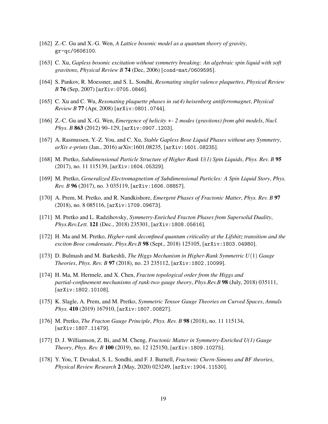- <span id="page-19-0"></span>[162] Z.-C. Gu and X.-G. Wen, *A Lattice bosonic model as a quantum theory of gravity*, gr-qc/0606100.
- [163] C. Xu, *Gapless bosonic excitation without symmetry breaking: An algebraic spin liquid with soft gravitons*, *Physical Review B* 74 (Dec, 2006) [cond-mat/0609595].
- [164] S. Pankov, R. Moessner, and S. L. Sondhi, *Resonating singlet valence plaquettes*, *Physical Review B* 76 (Sep, 2007) [arXiv:0705.0846].
- [165] C. Xu and C. Wu, *Resonating plaquette phases in su(4) heisenberg antiferromagnet*, *Physical Review B* 77 (Apr, 2008) [arXiv:0801.0744].
- [166] Z.-C. Gu and X.-G. Wen, *Emergence of helicity +- 2 modes (gravitons) from qbit models*, *Nucl. Phys. B* 863 (2012) 90–129, [arXiv:0907.1203].
- [167] A. Rasmussen, Y.-Z. You, and C. Xu, *Stable Gapless Bose Liquid Phases without any Symmetry*, *arXiv e-prints* (Jan., 2016) arXiv:1601.08235, [arXiv:1601.08235].
- [168] M. Pretko, *Subdimensional Particle Structure of Higher Rank U(1) Spin Liquids*, *Phys. Rev. B* 95 (2017), no. 11 115139, [arXiv:1604.05329].
- [169] M. Pretko, *Generalized Electromagnetism of Subdimensional Particles: A Spin Liquid Story*, *Phys. Rev. B* 96 (2017), no. 3 035119, [arXiv:1606.08857].
- <span id="page-19-1"></span>[170] A. Prem, M. Pretko, and R. Nandkishore, *Emergent Phases of Fractonic Matter*, *Phys. Rev. B* 97 (2018), no. 8 085116, [arXiv:1709.09673].
- <span id="page-19-2"></span>[171] M. Pretko and L. Radzihovsky, *Symmetry-Enriched Fracton Phases from Supersolid Duality*, *Phys.Rev.Lett.* 121 (Dec., 2018) 235301, [arXiv:1808.05616].
- [172] H. Ma and M. Pretko, *Higher-rank deconfined quantum criticality at the Lifshitz transition and the exciton Bose condensate*, *Phys.Rev.B* 98 (Sept., 2018) 125105, [arXiv:1803.04980].
- [173] D. Bulmash and M. Barkeshli, *The Higgs Mechanism in Higher-Rank Symmetric U*(1) *Gauge Theories*, *Phys. Rev. B* 97 (2018), no. 23 235112, [arXiv:1802.10099].
- [174] H. Ma, M. Hermele, and X. Chen, *Fracton topological order from the Higgs and partial-confinement mechanisms of rank-two gauge theory*, *Phys.Rev.B* 98 (July, 2018) 035111, [arXiv:1802.10108].
- [175] K. Slagle, A. Prem, and M. Pretko, *Symmetric Tensor Gauge Theories on Curved Spaces*, *Annals Phys.* 410 (2019) 167910, [arXiv:1807.00827].
- [176] M. Pretko, *The Fracton Gauge Principle*, *Phys. Rev. B* 98 (2018), no. 11 115134, [arXiv:1807.11479].
- [177] D. J. Williamson, Z. Bi, and M. Cheng, *Fractonic Matter in Symmetry-Enriched U(1) Gauge Theory*, *Phys. Rev. B* 100 (2019), no. 12 125150, [arXiv:1809.10275].
- <span id="page-19-3"></span>[178] Y. You, T. Devakul, S. L. Sondhi, and F. J. Burnell, *Fractonic Chern-Simons and BF theories*, *Physical Review Research* 2 (May, 2020) 023249, [arXiv:1904.11530].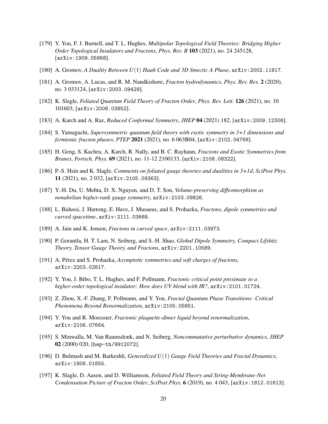- <span id="page-20-0"></span>[179] Y. You, F. J. Burnell, and T. L. Hughes, *Multipolar Topological Field Theories: Bridging Higher Order Topological Insulators and Fractons*, *Phys. Rev. B* 103 (2021), no. 24 245128, [arXiv:1909.05868].
- [180] A. Gromov, *A Duality Between U*(1) *Haah Code and 3D Smectic A Phase*, arXiv:2002.11817.
- <span id="page-20-1"></span>[181] A. Gromov, A. Lucas, and R. M. Nandkishore, *Fracton hydrodynamics*, *Phys. Rev. Res.* 2 (2020), no. 3 033124, [arXiv:2003.09429].
- <span id="page-20-2"></span>[182] K. Slagle, *Foliated Quantum Field Theory of Fracton Order*, *Phys. Rev. Lett.* 126 (2021), no. 10 101603, [arXiv:2008.03852].
- [183] A. Karch and A. Raz, *Reduced Conformal Symmetry*, *JHEP* 04 (2021) 182, [arXiv:2009.12308].
- [184] S. Yamaguchi, *Supersymmetric quantum field theory with exotic symmetry in 3+1 dimensions and fermionic fracton phases*, *PTEP* 2021 (2021), no. 6 063B04, [arXiv:2102.04768].
- [185] H. Geng, S. Kachru, A. Karch, R. Nally, and B. C. Rayhaun, *Fractons and Exotic Symmetries from Branes*, *Fortsch. Phys.* 69 (2021), no. 11-12 2100133, [arXiv:2108.08322].
- <span id="page-20-10"></span>[186] P.-S. Hsin and K. Slagle, *Comments on foliated gauge theories and dualities in 3+1d*, *SciPost Phys.* 11 (2021), no. 2 032, [arXiv:2105.09363].
- [187] Y.-H. Du, U. Mehta, D. X. Nguyen, and D. T. Son, *Volume-preserving diffeomorphism as nonabelian higher-rank gauge symmetry*, arXiv:2103.09826.
- [188] L. Bidussi, J. Hartong, E. Have, J. Musaeus, and S. Prohazka, *Fractons, dipole symmetries and curved spacetime*, arXiv:2111.03668.
- [189] A. Jain and K. Jensen, *Fractons in curved space*, arXiv:2111.03973.
- <span id="page-20-4"></span>[190] P. Gorantla, H. T. Lam, N. Seiberg, and S.-H. Shao, *Global Dipole Symmetry, Compact Lifshitz Theory, Tensor Gauge Theory, and Fractons*, arXiv:2201.10589.
- <span id="page-20-3"></span>[191] A. Pérez and S. Prohazka, *Asymptotic symmetries and soft charges of fractons*, arXiv:2203.02817.
- <span id="page-20-5"></span>[192] Y. You, J. Bibo, T. L. Hughes, and F. Pollmann, *Fractonic critical point proximate to a higher-order topological insulator: How does UV blend with IR?*, arXiv:2101.01724.
- [193] Z. Zhou, X.-F. Zhang, F. Pollmann, and Y. You, *Fractal Quantum Phase Transitions: Critical Phenomena Beyond Renormalization*, arXiv:2105.05851.
- <span id="page-20-6"></span>[194] Y. You and R. Moessner, *Fractonic plaquette-dimer liquid beyond renormalization*, arXiv:2106.07664.
- <span id="page-20-7"></span>[195] S. Minwalla, M. Van Raamsdonk, and N. Seiberg, *Noncommutative perturbative dynamics*, *JHEP* 02 (2000) 020, [hep-th/9912072].
- <span id="page-20-8"></span>[196] D. Bulmash and M. Barkeshli, *Generalized U*(1) *Gauge Field Theories and Fractal Dynamics*, arXiv:1806.01855.
- <span id="page-20-9"></span>[197] K. Slagle, D. Aasen, and D. Williamson, *Foliated Field Theory and String-Membrane-Net Condensation Picture of Fracton Order*, *SciPost Phys.* 6 (2019), no. 4 043, [arXiv:1812.01613].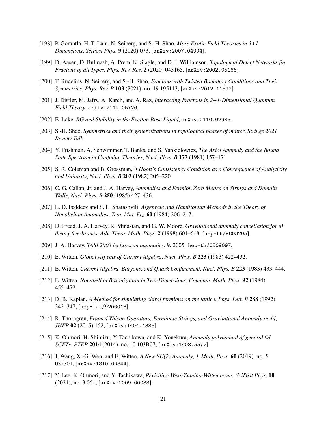- <span id="page-21-0"></span>[198] P. Gorantla, H. T. Lam, N. Seiberg, and S.-H. Shao, *More Exotic Field Theories in 3+1 Dimensions*, *SciPost Phys.* 9 (2020) 073, [arXiv:2007.04904].
- <span id="page-21-1"></span>[199] D. Aasen, D. Bulmash, A. Prem, K. Slagle, and D. J. Williamson, *Topological Defect Networks for Fractons of all Types*, *Phys. Rev. Res.* 2 (2020) 043165, [arXiv:2002.05166].
- <span id="page-21-2"></span>[200] T. Rudelius, N. Seiberg, and S.-H. Shao, *Fractons with Twisted Boundary Conditions and Their Symmetries*, *Phys. Rev. B* 103 (2021), no. 19 195113, [arXiv:2012.11592].
- <span id="page-21-3"></span>[201] J. Distler, M. Jafry, A. Karch, and A. Raz, *Interacting Fractons in 2+1-Dimensional Quantum Field Theory*, arXiv:2112.05726.
- <span id="page-21-4"></span>[202] E. Lake, *RG and Stability in the Exciton Bose Liquid*, arXiv:2110.02986.
- <span id="page-21-5"></span>[203] S.-H. Shao, *Symmetries and their generalizations in topological phases of matter*, *Strings 2021 Review Talk*.
- <span id="page-21-6"></span>[204] Y. Frishman, A. Schwimmer, T. Banks, and S. Yankielowicz, *The Axial Anomaly and the Bound State Spectrum in Confining Theories*, *Nucl. Phys. B* 177 (1981) 157–171.
- <span id="page-21-7"></span>[205] S. R. Coleman and B. Grossman, *'t Hooft's Consistency Condition as a Consequence of Analyticity and Unitarity*, *Nucl. Phys. B* 203 (1982) 205–220.
- <span id="page-21-8"></span>[206] C. G. Callan, Jr. and J. A. Harvey, *Anomalies and Fermion Zero Modes on Strings and Domain Walls*, *Nucl. Phys. B* 250 (1985) 427–436.
- <span id="page-21-9"></span>[207] L. D. Faddeev and S. L. Shatashvili, *Algebraic and Hamiltonian Methods in the Theory of Nonabelian Anomalies*, *Teor. Mat. Fiz.* 60 (1984) 206–217.
- <span id="page-21-10"></span>[208] D. Freed, J. A. Harvey, R. Minasian, and G. W. Moore, *Gravitational anomaly cancellation for M theory five-branes*, *Adv. Theor. Math. Phys.* 2 (1998) 601–618, [hep-th/9803205].
- <span id="page-21-11"></span>[209] J. A. Harvey, *TASI 2003 lectures on anomalies*, 9, 2005. hep-th/0509097.
- <span id="page-21-13"></span>[210] E. Witten, *Global Aspects of Current Algebra*, *Nucl. Phys. B* 223 (1983) 422–432.
- <span id="page-21-14"></span>[211] E. Witten, *Current Algebra, Baryons, and Quark Confinement*, *Nucl. Phys. B* 223 (1983) 433–444.
- <span id="page-21-15"></span>[212] E. Witten, *Nonabelian Bosonization in Two-Dimensions*, *Commun. Math. Phys.* 92 (1984) 455–472.
- <span id="page-21-16"></span>[213] D. B. Kaplan, *A Method for simulating chiral fermions on the lattice*, *Phys. Lett. B* 288 (1992) 342–347, [hep-lat/9206013].
- <span id="page-21-12"></span>[214] R. Thorngren, *Framed Wilson Operators, Fermionic Strings, and Gravitational Anomaly in 4d*, *JHEP* 02 (2015) 152, [arXiv:1404.4385].
- [215] K. Ohmori, H. Shimizu, Y. Tachikawa, and K. Yonekura, *Anomaly polynomial of general 6d SCFTs*, *PTEP* 2014 (2014), no. 10 103B07, [arXiv:1408.5572].
- [216] J. Wang, X.-G. Wen, and E. Witten, *A New SU(2) Anomaly*, *J. Math. Phys.* 60 (2019), no. 5 052301, [arXiv:1810.00844].
- [217] Y. Lee, K. Ohmori, and Y. Tachikawa, *Revisiting Wess-Zumino-Witten terms*, *SciPost Phys.* 10 (2021), no. 3 061, [arXiv:2009.00033].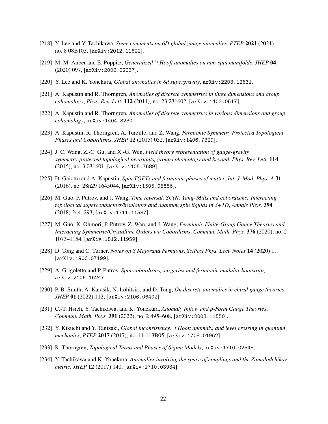- [218] Y. Lee and Y. Tachikawa, *Some comments on 6D global gauge anomalies*, *PTEP* 2021 (2021), no. 8 08B103, [arXiv:2012.11622].
- [219] M. M. Anber and E. Poppitz, *Generalized 't Hooft anomalies on non-spin manifolds*, *JHEP* 04 (2020) 097, [arXiv:2002.02037].
- <span id="page-22-0"></span>[220] Y. Lee and K. Yonekura, *Global anomalies in 8d supergravity*, arXiv:2203.12631.
- <span id="page-22-1"></span>[221] A. Kapustin and R. Thorngren, *Anomalies of discrete symmetries in three dimensions and group cohomology*, *Phys. Rev. Lett.* 112 (2014), no. 23 231602, [arXiv:1403.0617].
- [222] A. Kapustin and R. Thorngren, *Anomalies of discrete symmetries in various dimensions and group cohomology*, arXiv:1404.3230.
- [223] A. Kapustin, R. Thorngren, A. Turzillo, and Z. Wang, *Fermionic Symmetry Protected Topological Phases and Cobordisms*, *JHEP* 12 (2015) 052, [arXiv:1406.7329].
- [224] J. C. Wang, Z.-C. Gu, and X.-G. Wen, *Field theory representation of gauge-gravity symmetry-protected topological invariants, group cohomology and beyond*, *Phys. Rev. Lett.* 114 (2015), no. 3 031601, [arXiv:1405.7689].
- <span id="page-22-2"></span>[225] D. Gaiotto and A. Kapustin, *Spin TQFTs and fermionic phases of matter*, *Int. J. Mod. Phys. A* 31 (2016), no. 28n29 1645044, [arXiv:1505.05856].
- <span id="page-22-3"></span>[226] M. Guo, P. Putrov, and J. Wang, *Time reversal, SU(N) Yang–Mills and cobordisms: Interacting topological superconductors/insulators and quantum spin liquids in 3+1D*, *Annals Phys.* 394 (2018) 244–293, [arXiv:1711.11587].
- [227] M. Guo, K. Ohmori, P. Putrov, Z. Wan, and J. Wang, *Fermionic Finite-Group Gauge Theories and Interacting Symmetric/Crystalline Orders via Cobordisms*, *Commun. Math. Phys.* 376 (2020), no. 2 1073–1154, [arXiv:1812.11959].
- [228] D. Tong and C. Turner, *Notes on 8 Majorana Fermions*, *SciPost Phys. Lect. Notes* 14 (2020) 1, [arXiv:1906.07199].
- <span id="page-22-7"></span>[229] A. Grigoletto and P. Putrov, *Spin-cobordisms, surgeries and fermionic modular bootstrap*, arXiv:2106.16247.
- <span id="page-22-4"></span>[230] P. B. Smith, A. Karasik, N. Lohitsiri, and D. Tong, *On discrete anomalies in chiral gauge theories*, *JHEP* 01 (2022) 112, [arXiv:2106.06402].
- <span id="page-22-5"></span>[231] C.-T. Hsieh, Y. Tachikawa, and K. Yonekura, *Anomaly Inflow and p-Form Gauge Theories*, *Commun. Math. Phys.* 391 (2022), no. 2 495–608, [arXiv:2003.11550].
- <span id="page-22-6"></span>[232] Y. Kikuchi and Y. Tanizaki, *Global inconsistency, 't Hooft anomaly, and level crossing in quantum mechanics*, *PTEP* 2017 (2017), no. 11 113B05, [arXiv:1708.01962].
- [233] R. Thorngren, *Topological Terms and Phases of Sigma Models*, arXiv:1710.02545.
- [234] Y. Tachikawa and K. Yonekura, *Anomalies involving the space of couplings and the Zamolodchikov metric*, *JHEP* 12 (2017) 140, [arXiv:1710.03934].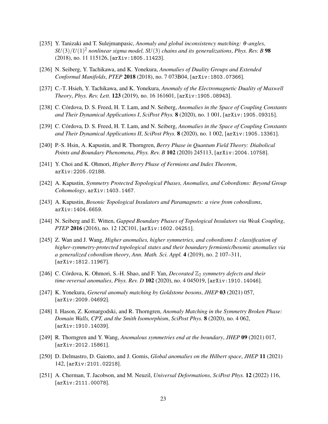- [235] Y. Tanizaki and T. Sulejmanpasic, *Anomaly and global inconsistency matching:* θ*-angles, SU*(3)/*U*(1) <sup>2</sup> *nonlinear sigma model, SU*(3) *chains and its generalizations*, *Phys. Rev. B* 98 (2018), no. 11 115126, [arXiv:1805.11423].
- [236] N. Seiberg, Y. Tachikawa, and K. Yonekura, *Anomalies of Duality Groups and Extended Conformal Manifolds*, *PTEP* 2018 (2018), no. 7 073B04, [arXiv:1803.07366].
- [237] C.-T. Hsieh, Y. Tachikawa, and K. Yonekura, *Anomaly of the Electromagnetic Duality of Maxwell Theory*, *Phys. Rev. Lett.* 123 (2019), no. 16 161601, [arXiv:1905.08943].
- [238] C. Córdova, D. S. Freed, H. T. Lam, and N. Seiberg, *Anomalies in the Space of Coupling Constants and Their Dynamical Applications I*, *SciPost Phys.* 8 (2020), no. 1 001, [arXiv:1905.09315].
- [239] C. Córdova, D. S. Freed, H. T. Lam, and N. Seiberg, *Anomalies in the Space of Coupling Constants and Their Dynamical Applications II*, *SciPost Phys.* 8 (2020), no. 1 002, [arXiv:1905.13361].
- [240] P.-S. Hsin, A. Kapustin, and R. Thorngren, *Berry Phase in Quantum Field Theory: Diabolical Points and Boundary Phenomena*, *Phys. Rev. B* 102 (2020) 245113, [arXiv:2004.10758].
- <span id="page-23-0"></span>[241] Y. Choi and K. Ohmori, *Higher Berry Phase of Fermions and Index Theorem*, arXiv:2205.02188.
- <span id="page-23-1"></span>[242] A. Kapustin, *Symmetry Protected Topological Phases, Anomalies, and Cobordisms: Beyond Group Cohomology*, arXiv:1403.1467.
- [243] A. Kapustin, *Bosonic Topological Insulators and Paramagnets: a view from cobordisms*, arXiv:1404.6659.
- <span id="page-23-2"></span>[244] N. Seiberg and E. Witten, *Gapped Boundary Phases of Topological Insulators via Weak Coupling*, *PTEP* 2016 (2016), no. 12 12C101, [arXiv:1602.04251].
- <span id="page-23-3"></span>[245] Z. Wan and J. Wang, *Higher anomalies, higher symmetries, and cobordisms I: classification of higher-symmetry-protected topological states and their boundary fermionic/bosonic anomalies via a generalized cobordism theory*, *Ann. Math. Sci. Appl.* 4 (2019), no. 2 107–311, [arXiv:1812.11967].
- <span id="page-23-7"></span>[246] C. Córdova, K. Ohmori, S.-H. Shao, and F. Yan, *Decorated*  $\mathbb{Z}_2$  *symmetry defects and their time-reversal anomalies*, *Phys. Rev. D* 102 (2020), no. 4 045019, [arXiv:1910.14046].
- [247] K. Yonekura, *General anomaly matching by Goldstone bosons*, *JHEP* 03 (2021) 057, [arXiv:2009.04692].
- [248] I. Hason, Z. Komargodski, and R. Thorngren, *Anomaly Matching in the Symmetry Broken Phase: Domain Walls, CPT, and the Smith Isomorphism*, *SciPost Phys.* 8 (2020), no. 4 062, [arXiv:1910.14039].
- <span id="page-23-4"></span>[249] R. Thorngren and Y. Wang, *Anomalous symmetries end at the boundary*, *JHEP* 09 (2021) 017, [arXiv:2012.15861].
- <span id="page-23-5"></span>[250] D. Delmastro, D. Gaiotto, and J. Gomis, *Global anomalies on the Hilbert space*, *JHEP* 11 (2021) 142, [arXiv:2101.02218].
- <span id="page-23-6"></span>[251] A. Cherman, T. Jacobson, and M. Neuzil, *Universal Deformations*, *SciPost Phys.* 12 (2022) 116, [arXiv:2111.00078].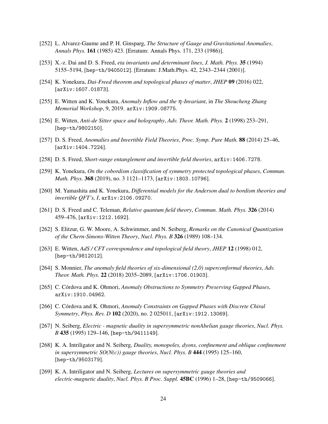- <span id="page-24-0"></span>[252] L. Alvarez-Gaume and P. H. Ginsparg, *The Structure of Gauge and Gravitational Anomalies*, *Annals Phys.* 161 (1985) 423. [Erratum: Annals Phys. 171, 233 (1986)].
- <span id="page-24-1"></span>[253] X.-z. Dai and D. S. Freed, *eta invariants and determinant lines*, *J. Math. Phys.* 35 (1994) 5155–5194, [hep-th/9405012]. [Erratum: J.Math.Phys. 42, 2343–2344 (2001)].
- <span id="page-24-2"></span>[254] K. Yonekura, *Dai-Freed theorem and topological phases of matter*, *JHEP* 09 (2016) 022, [arXiv:1607.01873].
- <span id="page-24-3"></span>[255] E. Witten and K. Yonekura, *Anomaly Inflow and the* η*-Invariant*, in *The Shoucheng Zhang Memorial Workshop*, 9, 2019. arXiv:1909.08775.
- <span id="page-24-4"></span>[256] E. Witten, *Anti-de Sitter space and holography*, *Adv. Theor. Math. Phys.* 2 (1998) 253–291, [hep-th/9802150].
- <span id="page-24-5"></span>[257] D. S. Freed, *Anomalies and Invertible Field Theories*, *Proc. Symp. Pure Math.* 88 (2014) 25–46, [arXiv:1404.7224].
- <span id="page-24-6"></span>[258] D. S. Freed, *Short-range entanglement and invertible field theories*, arXiv:1406.7278.
- <span id="page-24-7"></span>[259] K. Yonekura, *On the cobordism classification of symmetry protected topological phases*, *Commun. Math. Phys.* 368 (2019), no. 3 1121–1173, [arXiv:1803.10796].
- <span id="page-24-8"></span>[260] M. Yamashita and K. Yonekura, *Differential models for the Anderson dual to bordism theories and invertible QFT's, I*, arXiv:2106.09270.
- <span id="page-24-9"></span>[261] D. S. Freed and C. Teleman, *Relative quantum field theory*, *Commun. Math. Phys.* 326 (2014) 459–476, [arXiv:1212.1692].
- <span id="page-24-14"></span>[262] S. Elitzur, G. W. Moore, A. Schwimmer, and N. Seiberg, *Remarks on the Canonical Quantization of the Chern-Simons-Witten Theory*, *Nucl. Phys. B* 326 (1989) 108–134.
- <span id="page-24-15"></span>[263] E. Witten, *AdS / CFT correspondence and topological field theory*, *JHEP* 12 (1998) 012, [hep-th/9812012].
- <span id="page-24-16"></span>[264] S. Monnier, *The anomaly field theories of six-dimensional (2,0) superconformal theories*, *Adv. Theor. Math. Phys.* 22 (2018) 2035–2089, [arXiv:1706.01903].
- <span id="page-24-10"></span>[265] C. Córdova and K. Ohmori, *Anomaly Obstructions to Symmetry Preserving Gapped Phases*, arXiv:1910.04962.
- <span id="page-24-11"></span>[266] C. Córdova and K. Ohmori, *Anomaly Constraints on Gapped Phases with Discrete Chiral Symmetry*, *Phys. Rev. D* 102 (2020), no. 2 025011, [arXiv:1912.13069].
- <span id="page-24-12"></span>[267] N. Seiberg, *Electric - magnetic duality in supersymmetric nonAbelian gauge theories*, *Nucl. Phys. B* 435 (1995) 129–146, [hep-th/9411149].
- [268] K. A. Intriligator and N. Seiberg, *Duality, monopoles, dyons, confinement and oblique confinement in supersymmetric*  $SO(N(c))$  gauge theories, *Nucl. Phys. B* 444 (1995) 125–160, [hep-th/9503179].
- <span id="page-24-13"></span>[269] K. A. Intriligator and N. Seiberg, *Lectures on supersymmetric gauge theories and electric-magnetic duality*, *Nucl. Phys. B Proc. Suppl.* 45BC (1996) 1–28, [hep-th/9509066].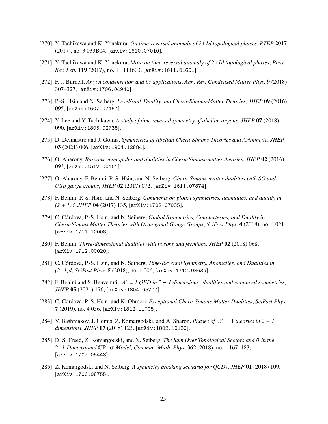- <span id="page-25-0"></span>[270] Y. Tachikawa and K. Yonekura, *On time-reversal anomaly of 2+1d topological phases*, *PTEP* 2017 (2017), no. 3 033B04, [arXiv:1610.07010].
- <span id="page-25-11"></span>[271] Y. Tachikawa and K. Yonekura, *More on time-reversal anomaly of 2+1d topological phases*, *Phys. Rev. Lett.* 119 (2017), no. 11 111603, [arXiv:1611.01601].
- [272] F. J. Burnell, *Anyon condensation and its applications*, *Ann. Rev. Condensed Matter Phys.* 9 (2018) 307–327, [arXiv:1706.04940].
- <span id="page-25-1"></span>[273] P.-S. Hsin and N. Seiberg, *Level/rank Duality and Chern-Simons-Matter Theories*, *JHEP* 09 (2016) 095, [arXiv:1607.07457].
- <span id="page-25-2"></span>[274] Y. Lee and Y. Tachikawa, *A study of time reversal symmetry of abelian anyons*, *JHEP* 07 (2018) 090, [arXiv:1805.02738].
- <span id="page-25-3"></span>[275] D. Delmastro and J. Gomis, *Symmetries of Abelian Chern-Simons Theories and Arithmetic*, *JHEP* 03 (2021) 006, [arXiv:1904.12884].
- <span id="page-25-4"></span>[276] O. Aharony, *Baryons, monopoles and dualities in Chern-Simons-matter theories*, *JHEP* 02 (2016) 093, [arXiv:1512.00161].
- <span id="page-25-5"></span>[277] O. Aharony, F. Benini, P.-S. Hsin, and N. Seiberg, *Chern-Simons-matter dualities with SO and USp gauge groups*, *JHEP* 02 (2017) 072, [arXiv:1611.07874].
- [278] F. Benini, P.-S. Hsin, and N. Seiberg, *Comments on global symmetries, anomalies, and duality in (2 + 1)d*, *JHEP* 04 (2017) 135, [arXiv:1702.07035].
- <span id="page-25-8"></span>[279] C. Córdova, P.-S. Hsin, and N. Seiberg, *Global Symmetries, Counterterms, and Duality in Chern-Simons Matter Theories with Orthogonal Gauge Groups*, *SciPost Phys.* 4 (2018), no. 4 021, [arXiv:1711.10008].
- [280] F. Benini, *Three-dimensional dualities with bosons and fermions*, *JHEP* 02 (2018) 068, [arXiv:1712.00020].
- <span id="page-25-9"></span>[281] C. Córdova, P.-S. Hsin, and N. Seiberg, *Time-Reversal Symmetry, Anomalies, and Dualities in (2+1)d*, *SciPost Phys.* 5 (2018), no. 1 006, [arXiv:1712.08639].
- [282] F. Benini and S. Benvenuti,  $\mathcal{N} = I$  QED in 2 + 1 dimensions: dualities and enhanced symmetries, *JHEP* 05 (2021) 176, [arXiv:1804.05707].
- <span id="page-25-10"></span>[283] C. Córdova, P.-S. Hsin, and K. Ohmori, *Exceptional Chern-Simons-Matter Dualities*, *SciPost Phys.* 7 (2019), no. 4 056, [arXiv:1812.11705].
- <span id="page-25-6"></span>[284] V. Bashmakov, J. Gomis, Z. Komargodski, and A. Sharon, *Phases of*  $\mathcal{N} = 1$  *theories in*  $2 + 1$ *dimensions*, *JHEP* 07 (2018) 123, [arXiv:1802.10130].
- <span id="page-25-7"></span>[285] D. S. Freed, Z. Komargodski, and N. Seiberg, *The Sum Over Topological Sectors and* θ *in the 2+1-Dimensional* CP<sup>1</sup> σ*-Model*, *Commun. Math. Phys.* 362 (2018), no. 1 167–183, [arXiv:1707.05448].
- [286] Z. Komargodski and N. Seiberg, *A symmetry breaking scenario for QCD*3, *JHEP* 01 (2018) 109, [arXiv:1706.08755].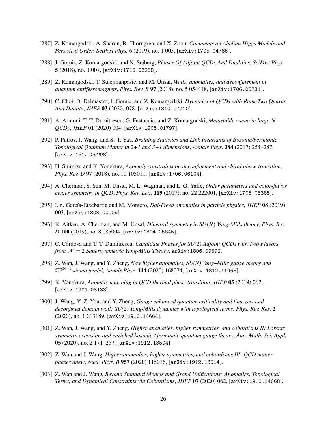- [287] Z. Komargodski, A. Sharon, R. Thorngren, and X. Zhou, *Comments on Abelian Higgs Models and Persistent Order*, *SciPost Phys.* 6 (2019), no. 1 003, [arXiv:1705.04786].
- <span id="page-26-0"></span>[288] J. Gomis, Z. Komargodski, and N. Seiberg, *Phases Of Adjoint QCD*<sup>3</sup> *And Dualities*, *SciPost Phys.* 5 (2018), no. 1 007, [arXiv:1710.03258].
- <span id="page-26-1"></span>[289] Z. Komargodski, T. Sulejmanpasic, and M. Ünsal, *Walls, anomalies, and deconfinement in quantum antiferromagnets*, *Phys. Rev. B* 97 (2018), no. 5 054418, [arXiv:1706.05731].
- <span id="page-26-2"></span>[290] C. Choi, D. Delmastro, J. Gomis, and Z. Komargodski, *Dynamics of QCD*<sup>3</sup> *with Rank-Two Quarks And Duality*, *JHEP* 03 (2020) 078, [arXiv:1810.07720].
- <span id="page-26-3"></span>[291] A. Armoni, T. T. Dumitrescu, G. Festuccia, and Z. Komargodski, *Metastable vacua in large-N QCD*3, *JHEP* 01 (2020) 004, [arXiv:1905.01797].
- <span id="page-26-4"></span>[292] P. Putrov, J. Wang, and S.-T. Yau, *Braiding Statistics and Link Invariants of Bosonic/Fermionic Topological Quantum Matter in 2+1 and 3+1 dimensions*, *Annals Phys.* 384 (2017) 254–287, [arXiv:1612.09298].
- [293] H. Shimizu and K. Yonekura, *Anomaly constraints on deconfinement and chiral phase transition*, *Phys. Rev. D* 97 (2018), no. 10 105011, [arXiv:1706.06104].
- [294] A. Cherman, S. Sen, M. Unsal, M. L. Wagman, and L. G. Yaffe, *Order parameters and color-flavor center symmetry in QCD*, *Phys. Rev. Lett.* 119 (2017), no. 22 222001, [arXiv:1706.05385].
- [295] I. n. Garc´ıa-Etxebarria and M. Montero, *Dai-Freed anomalies in particle physics*, *JHEP* 08 (2019) 003, [arXiv:1808.00009].
- [296] K. Aitken, A. Cherman, and M. Unsal, *Dihedral symmetry in SU(N) Yang-Mills theory*, *Phys. Rev. D* 100 (2019), no. 8 085004, [arXiv:1804.05845].
- [297] C. Córdova and T. T. Dumitrescu, *Candidate Phases for SU(2) Adjoint QCD<sub>4</sub> with Two Flavors from*  $N = 2$  *Supersymmetric Yang-Mills Theory*,  $\text{arXiv}:1806.09592$ .
- <span id="page-26-5"></span>[298] Z. Wan, J. Wang, and Y. Zheng, *New higher anomalies, SU(N) Yang–Mills gauge theory and* CPN−1 *sigma model*, *Annals Phys.* 414 (2020) 168074, [arXiv:1812.11968].
- <span id="page-26-6"></span>[299] K. Yonekura, *Anomaly matching in QCD thermal phase transition*, *JHEP* 05 (2019) 062, [arXiv:1901.08188].
- [300] J. Wang, Y.-Z. You, and Y. Zheng, *Gauge enhanced quantum criticality and time reversal deconfined domain wall: SU(2) Yang-Mills dynamics with topological terms*, *Phys. Rev. Res.* 2 (2020), no. 1 013189, [arXiv:1910.14664].
- [301] Z. Wan, J. Wang, and Y. Zheng, *Higher anomalies, higher symmetries, and cobordisms II: Lorentz symmetry extension and enriched bosonic / fermionic quantum gauge theory*, *Ann. Math. Sci. Appl.* 05 (2020), no. 2 171–257, [arXiv:1912.13504].
- [302] Z. Wan and J. Wang, *Higher anomalies, higher symmetries, and cobordisms III: QCD matter phases anew*, *Nucl. Phys. B* 957 (2020) 115016, [arXiv:1912.13514].
- [303] Z. Wan and J. Wang, *Beyond Standard Models and Grand Unifications: Anomalies, Topological Terms, and Dynamical Constraints via Cobordisms*, *JHEP* 07 (2020) 062, [arXiv:1910.14668].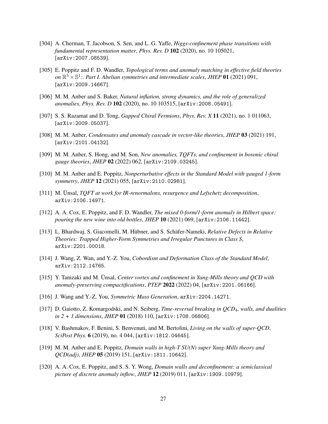- <span id="page-27-0"></span>[304] A. Cherman, T. Jacobson, S. Sen, and L. G. Yaffe, *Higgs-confinement phase transitions with fundamental representation matter*, *Phys. Rev. D* 102 (2020), no. 10 105021, [arXiv:2007.08539].
- <span id="page-27-1"></span>[305] E. Poppitz and F. D. Wandler, *Topological terms and anomaly matching in effective field theories* on  $\mathbb{R}^3 \times \mathbb{S}^1$ :. Part I. Abelian symmetries and intermediate scales, JHEP 01 (2021) 091, [arXiv:2009.14667].
- [306] M. M. Anber and S. Baker, *Natural inflation, strong dynamics, and the role of generalized anomalies*, *Phys. Rev. D* 102 (2020), no. 10 103515, [arXiv:2008.05491].
- [307] S. S. Razamat and D. Tong, *Gapped Chiral Fermions*, *Phys. Rev. X* 11 (2021), no. 1 011063, [arXiv:2009.05037].
- [308] M. M. Anber, *Condensates and anomaly cascade in vector-like theories*, *JHEP* 03 (2021) 191, [arXiv:2101.04132].
- [309] M. M. Anber, S. Hong, and M. Son, *New anomalies, TQFTs, and confinement in bosonic chiral gauge theories*, *JHEP* 02 (2022) 062, [arXiv:2109.03245].
- <span id="page-27-2"></span>[310] M. M. Anber and E. Poppitz, *Nonperturbative effects in the Standard Model with gauged 1-form symmetry*, *JHEP* 12 (2021) 055, [arXiv:2110.02981].
- <span id="page-27-3"></span>[311] M. Ünsal, TQFT at work for IR-renormalons, resurgence and Lefschetz decomposition, arXiv:2106.14971.
- <span id="page-27-4"></span>[312] A. A. Cox, E. Poppitz, and F. D. Wandler, *The mixed 0-form/1-form anomaly in Hilbert space: pouring the new wine into old bottles*, *JHEP* 10 (2021) 069, [arXiv:2106.11442].
- <span id="page-27-5"></span>[313] L. Bhardwaj, S. Giacomelli, M. Hübner, and S. Schäfer-Nameki, Relative Defects in Relative *Theories: Trapped Higher-Form Symmetries and Irregular Punctures in Class S*, arXiv:2201.00018.
- [314] J. Wang, Z. Wan, and Y.-Z. You, *Cobordism and Deformation Class of the Standard Model*, arXiv:2112.14765.
- [315] Y. Tanizaki and M. Ünsal, Center vortex and confinement in Yang-Mills theory and QCD with *anomaly-preserving compactifications*, *PTEP* 2022 (2022) 04, [arXiv:2201.06166].
- <span id="page-27-6"></span>[316] J. Wang and Y.-Z. You, *Symmetric Mass Generation*, arXiv:2204.14271.
- <span id="page-27-7"></span>[317] D. Gaiotto, Z. Komargodski, and N. Seiberg, *Time-reversal breaking in QCD*4*, walls, and dualities in 2 + 1 dimensions*, *JHEP* 01 (2018) 110, [arXiv:1708.06806].
- [318] V. Bashmakov, F. Benini, S. Benvenuti, and M. Bertolini, *Living on the walls of super-QCD*, *SciPost Phys.* 6 (2019), no. 4 044, [arXiv:1812.04645].
- [319] M. M. Anber and E. Poppitz, *Domain walls in high-T SU(N) super Yang-Mills theory and QCD(adj)*, *JHEP* 05 (2019) 151, [arXiv:1811.10642].
- [320] A. A. Cox, E. Poppitz, and S. S. Y. Wong, *Domain walls and deconfinement: a semiclassical picture of discrete anomaly inflow*, *JHEP* 12 (2019) 011, [arXiv:1909.10979].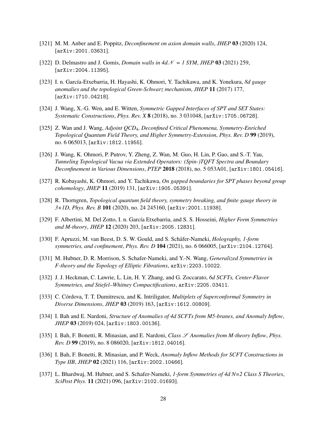- [321] M. M. Anber and E. Poppitz, *Deconfinement on axion domain walls*, *JHEP* 03 (2020) 124, [arXiv:2001.03631].
- <span id="page-28-0"></span>[322] D. Delmastro and J. Gomis, *Domain walls in*  $4d\mathcal{N} = 1$  SYM, JHEP 03 (2021) 259, [arXiv:2004.11395].
- <span id="page-28-1"></span>[323] I. n. García-Etxebarria, H. Hayashi, K. Ohmori, Y. Tachikawa, and K. Yonekura, 8d gauge *anomalies and the topological Green-Schwarz mechanism*, *JHEP* 11 (2017) 177, [arXiv:1710.04218].
- [324] J. Wang, X.-G. Wen, and E. Witten, *Symmetric Gapped Interfaces of SPT and SET States: Systematic Constructions*, *Phys. Rev. X* 8 (2018), no. 3 031048, [arXiv:1705.06728].
- [325] Z. Wan and J. Wang, *Adjoint QCD*4*, Deconfined Critical Phenomena, Symmetry-Enriched Topological Quantum Field Theory, and Higher Symmetry-Extension*, *Phys. Rev. D* 99 (2019), no. 6 065013, [arXiv:1812.11955].
- [326] J. Wang, K. Ohmori, P. Putrov, Y. Zheng, Z. Wan, M. Guo, H. Lin, P. Gao, and S.-T. Yau, *Tunneling Topological Vacua via Extended Operators: (Spin-)TQFT Spectra and Boundary Deconfinement in Various Dimensions*, *PTEP* 2018 (2018), no. 5 053A01, [arXiv:1801.05416].
- <span id="page-28-2"></span>[327] R. Kobayashi, K. Ohmori, and Y. Tachikawa, *On gapped boundaries for SPT phases beyond group cohomology*, *JHEP* 11 (2019) 131, [arXiv:1905.05391].
- <span id="page-28-3"></span>[328] R. Thorngren, *Topological quantum field theory, symmetry breaking, and finite gauge theory in 3+1D*, *Phys. Rev. B* 101 (2020), no. 24 245160, [arXiv:2001.11938].
- <span id="page-28-4"></span>[329] F. Albertini, M. Del Zotto, I. n. García Etxebarria, and S. S. Hosseini, *Higher Form Symmetries and M-theory*, *JHEP* 12 (2020) 203, [arXiv:2005.12831].
- <span id="page-28-5"></span>[330] F. Apruzzi, M. van Beest, D. S. W. Gould, and S. Schäfer-Nameki, *Holography, 1-form symmetries, and confinement*, *Phys. Rev. D* 104 (2021), no. 6 066005, [arXiv:2104.12764].
- <span id="page-28-6"></span>[331] M. Hubner, D. R. Morrison, S. Schafer-Nameki, and Y.-N. Wang, *Generalized Symmetries in F-theory and the Topology of Elliptic Fibrations*, arXiv:2203.10022.
- <span id="page-28-7"></span>[332] J. J. Heckman, C. Lawrie, L. Lin, H. Y. Zhang, and G. Zoccarato, *6d SCFTs, Center-Flavor Symmetries, and Stiefel–Whitney Compactifications*, arXiv:2205.03411.
- <span id="page-28-8"></span>[333] C. Córdova, T. T. Dumitrescu, and K. Intriligator, *Multiplets of Superconformal Symmetry in Diverse Dimensions*, *JHEP* 03 (2019) 163, [arXiv:1612.00809].
- <span id="page-28-9"></span>[334] I. Bah and E. Nardoni, *Structure of Anomalies of 4d SCFTs from M5-branes, and Anomaly Inflow*, *JHEP* 03 (2019) 024, [arXiv:1803.00136].
- [335] I. Bah, F. Bonetti, R. Minasian, and E. Nardoni, *Class* S *Anomalies from M-theory Inflow*, *Phys. Rev. D* 99 (2019), no. 8 086020, [arXiv:1812.04016].
- <span id="page-28-10"></span>[336] I. Bah, F. Bonetti, R. Minasian, and P. Weck, *Anomaly Inflow Methods for SCFT Constructions in Type IIB*, *JHEP* 02 (2021) 116, [arXiv:2002.10466].
- <span id="page-28-11"></span>[337] L. Bhardwaj, M. Hubner, and S. Schafer-Nameki, *1-form Symmetries of 4d N=2 Class S Theories*, *SciPost Phys.* 11 (2021) 096, [arXiv:2102.01693].